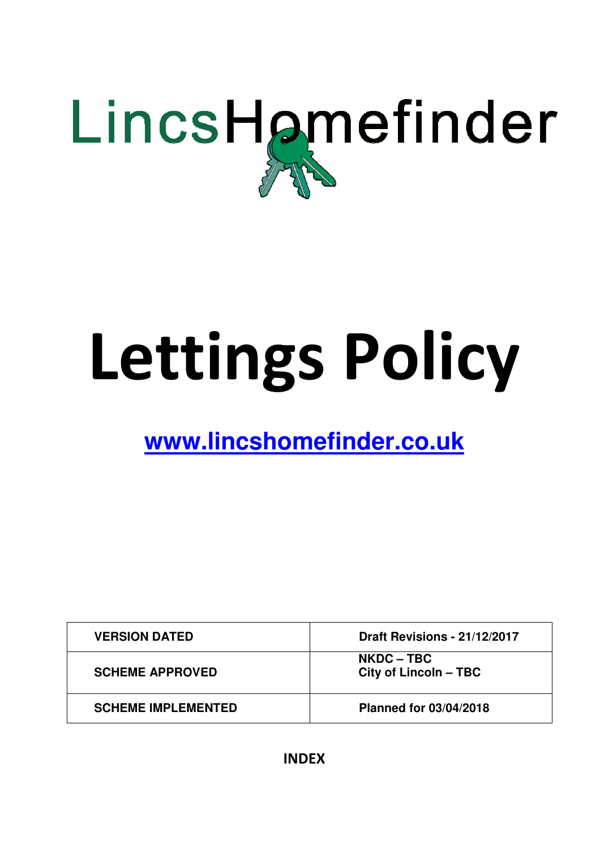

# Lettings Policy

# **www.lincshomefinder.co.uk**

| <b>VERSION DATED</b>      | Draft Revisions - 21/12/2017               |
|---------------------------|--------------------------------------------|
| <b>SCHEME APPROVED</b>    | <b>NKDC – TBC</b><br>City of Lincoln - TBC |
| <b>SCHEME IMPLEMENTED</b> | <b>Planned for 03/04/2018</b>              |

INDEX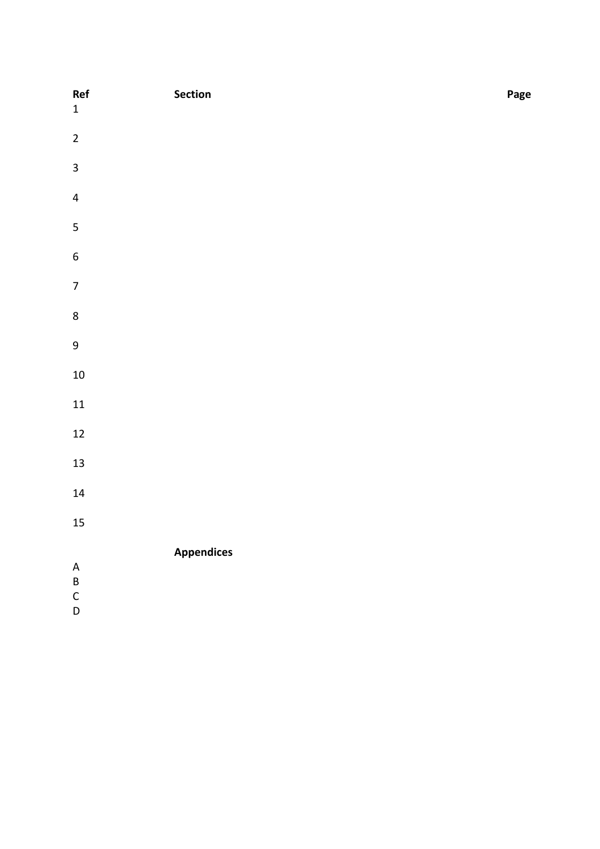| Ref<br>$\mathbf 1$                                     | Section           | Page |
|--------------------------------------------------------|-------------------|------|
| $\overline{2}$                                         |                   |      |
| $\overline{\mathbf{3}}$                                |                   |      |
| $\overline{\mathbf{4}}$                                |                   |      |
| $\overline{\mathbf{5}}$                                |                   |      |
| $\boldsymbol{6}$                                       |                   |      |
| $\boldsymbol{7}$                                       |                   |      |
| $\bf 8$                                                |                   |      |
| $\boldsymbol{9}$                                       |                   |      |
| $10\,$                                                 |                   |      |
| ${\bf 11}$                                             |                   |      |
| $12\,$                                                 |                   |      |
| 13                                                     |                   |      |
| ${\bf 14}$                                             |                   |      |
| 15                                                     |                   |      |
| $\mathsf A$<br>$\sf{B}$<br>$\mathsf{C}$<br>$\mathsf D$ | <b>Appendices</b> |      |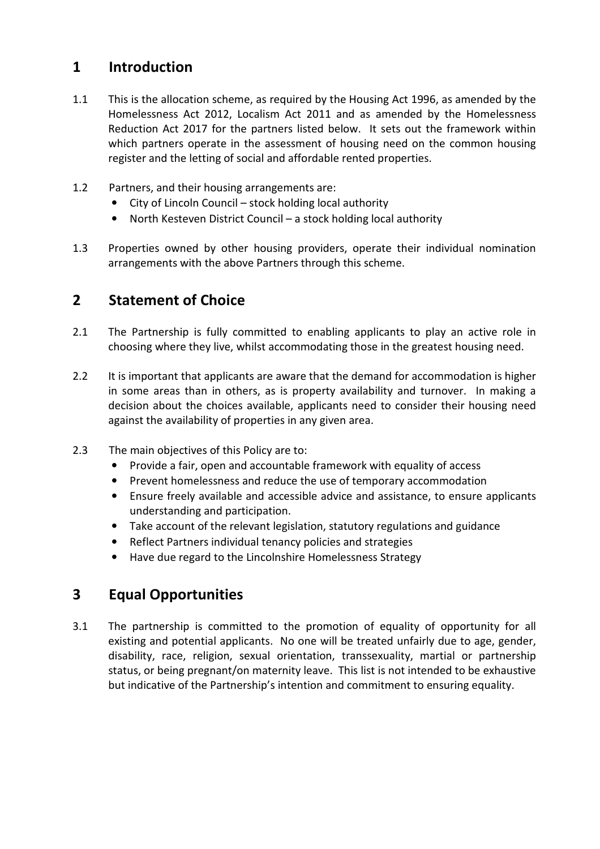# 1 Introduction

- 1.1 This is the allocation scheme, as required by the Housing Act 1996, as amended by the Homelessness Act 2012, Localism Act 2011 and as amended by the Homelessness Reduction Act 2017 for the partners listed below. It sets out the framework within which partners operate in the assessment of housing need on the common housing register and the letting of social and affordable rented properties.
- 1.2 Partners, and their housing arrangements are:
	- City of Lincoln Council stock holding local authority
	- North Kesteven District Council a stock holding local authority
- 1.3 Properties owned by other housing providers, operate their individual nomination arrangements with the above Partners through this scheme.

# 2 Statement of Choice

- 2.1 The Partnership is fully committed to enabling applicants to play an active role in choosing where they live, whilst accommodating those in the greatest housing need.
- 2.2 It is important that applicants are aware that the demand for accommodation is higher in some areas than in others, as is property availability and turnover. In making a decision about the choices available, applicants need to consider their housing need against the availability of properties in any given area.
- 2.3 The main objectives of this Policy are to:
	- Provide a fair, open and accountable framework with equality of access
	- Prevent homelessness and reduce the use of temporary accommodation
	- Ensure freely available and accessible advice and assistance, to ensure applicants understanding and participation.
	- Take account of the relevant legislation, statutory regulations and guidance
	- Reflect Partners individual tenancy policies and strategies
	- Have due regard to the Lincolnshire Homelessness Strategy

# 3 Equal Opportunities

3.1 The partnership is committed to the promotion of equality of opportunity for all existing and potential applicants. No one will be treated unfairly due to age, gender, disability, race, religion, sexual orientation, transsexuality, martial or partnership status, or being pregnant/on maternity leave. This list is not intended to be exhaustive but indicative of the Partnership's intention and commitment to ensuring equality.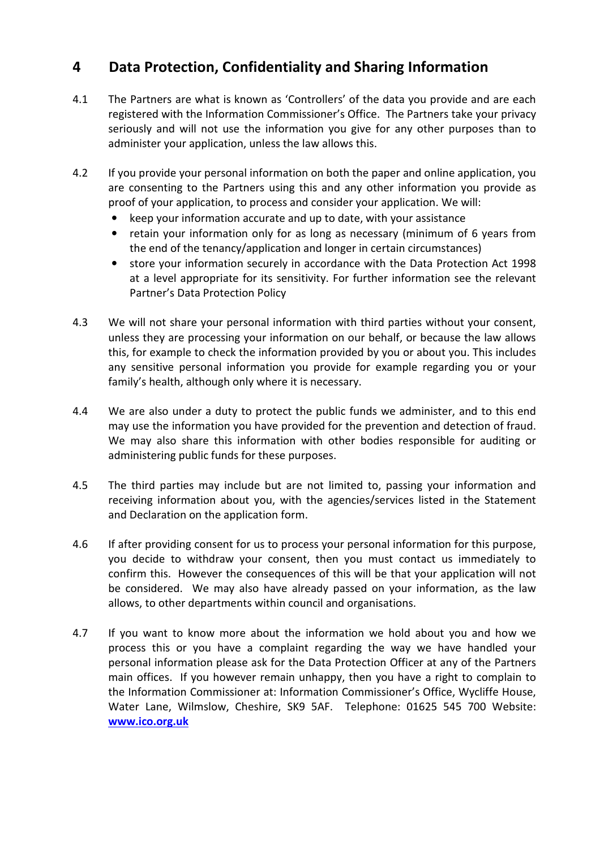# 4 Data Protection, Confidentiality and Sharing Information

- 4.1 The Partners are what is known as 'Controllers' of the data you provide and are each registered with the Information Commissioner's Office. The Partners take your privacy seriously and will not use the information you give for any other purposes than to administer your application, unless the law allows this.
- 4.2 If you provide your personal information on both the paper and online application, you are consenting to the Partners using this and any other information you provide as proof of your application, to process and consider your application. We will:
	- keep your information accurate and up to date, with your assistance
	- retain your information only for as long as necessary (minimum of 6 years from the end of the tenancy/application and longer in certain circumstances)
	- store your information securely in accordance with the Data Protection Act 1998 at a level appropriate for its sensitivity. For further information see the relevant Partner's Data Protection Policy
- 4.3 We will not share your personal information with third parties without your consent, unless they are processing your information on our behalf, or because the law allows this, for example to check the information provided by you or about you. This includes any sensitive personal information you provide for example regarding you or your family's health, although only where it is necessary.
- 4.4 We are also under a duty to protect the public funds we administer, and to this end may use the information you have provided for the prevention and detection of fraud. We may also share this information with other bodies responsible for auditing or administering public funds for these purposes.
- 4.5 The third parties may include but are not limited to, passing your information and receiving information about you, with the agencies/services listed in the Statement and Declaration on the application form.
- 4.6 If after providing consent for us to process your personal information for this purpose, you decide to withdraw your consent, then you must contact us immediately to confirm this. However the consequences of this will be that your application will not be considered. We may also have already passed on your information, as the law allows, to other departments within council and organisations.
- 4.7 If you want to know more about the information we hold about you and how we process this or you have a complaint regarding the way we have handled your personal information please ask for the Data Protection Officer at any of the Partners main offices. If you however remain unhappy, then you have a right to complain to the Information Commissioner at: Information Commissioner's Office, Wycliffe House, Water Lane, Wilmslow, Cheshire, SK9 5AF. Telephone: 01625 545 700 Website: www.ico.org.uk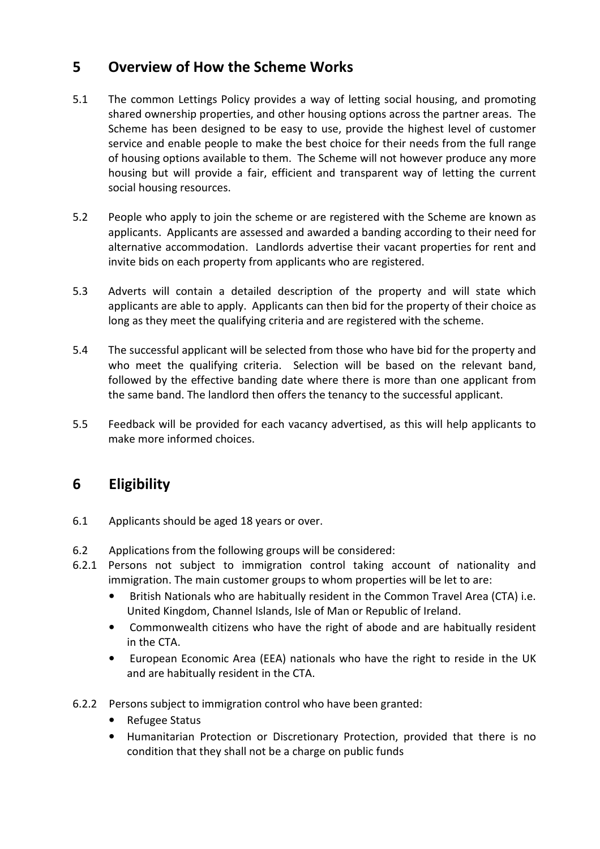# 5 Overview of How the Scheme Works

- 5.1 The common Lettings Policy provides a way of letting social housing, and promoting shared ownership properties, and other housing options across the partner areas. The Scheme has been designed to be easy to use, provide the highest level of customer service and enable people to make the best choice for their needs from the full range of housing options available to them. The Scheme will not however produce any more housing but will provide a fair, efficient and transparent way of letting the current social housing resources.
- 5.2 People who apply to join the scheme or are registered with the Scheme are known as applicants. Applicants are assessed and awarded a banding according to their need for alternative accommodation. Landlords advertise their vacant properties for rent and invite bids on each property from applicants who are registered.
- 5.3 Adverts will contain a detailed description of the property and will state which applicants are able to apply. Applicants can then bid for the property of their choice as long as they meet the qualifying criteria and are registered with the scheme.
- 5.4 The successful applicant will be selected from those who have bid for the property and who meet the qualifying criteria. Selection will be based on the relevant band, followed by the effective banding date where there is more than one applicant from the same band. The landlord then offers the tenancy to the successful applicant.
- 5.5 Feedback will be provided for each vacancy advertised, as this will help applicants to make more informed choices.

# 6 Eligibility

- 6.1 Applicants should be aged 18 years or over.
- 6.2 Applications from the following groups will be considered:
- 6.2.1 Persons not subject to immigration control taking account of nationality and immigration. The main customer groups to whom properties will be let to are:
	- British Nationals who are habitually resident in the Common Travel Area (CTA) i.e. United Kingdom, Channel Islands, Isle of Man or Republic of Ireland.
	- Commonwealth citizens who have the right of abode and are habitually resident in the CTA.
	- European Economic Area (EEA) nationals who have the right to reside in the UK and are habitually resident in the CTA.
- 6.2.2 Persons subject to immigration control who have been granted:
	- Refugee Status
	- Humanitarian Protection or Discretionary Protection, provided that there is no condition that they shall not be a charge on public funds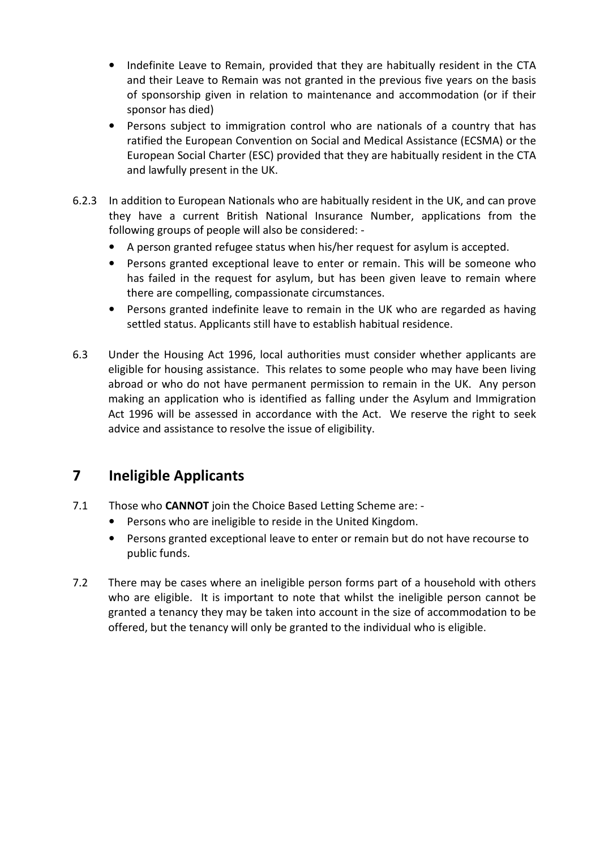- Indefinite Leave to Remain, provided that they are habitually resident in the CTA and their Leave to Remain was not granted in the previous five years on the basis of sponsorship given in relation to maintenance and accommodation (or if their sponsor has died)
- Persons subject to immigration control who are nationals of a country that has ratified the European Convention on Social and Medical Assistance (ECSMA) or the European Social Charter (ESC) provided that they are habitually resident in the CTA and lawfully present in the UK.
- 6.2.3 In addition to European Nationals who are habitually resident in the UK, and can prove they have a current British National Insurance Number, applications from the following groups of people will also be considered: -
	- A person granted refugee status when his/her request for asylum is accepted.
	- Persons granted exceptional leave to enter or remain. This will be someone who has failed in the request for asylum, but has been given leave to remain where there are compelling, compassionate circumstances.
	- Persons granted indefinite leave to remain in the UK who are regarded as having settled status. Applicants still have to establish habitual residence.
- 6.3 Under the Housing Act 1996, local authorities must consider whether applicants are eligible for housing assistance. This relates to some people who may have been living abroad or who do not have permanent permission to remain in the UK. Any person making an application who is identified as falling under the Asylum and Immigration Act 1996 will be assessed in accordance with the Act. We reserve the right to seek advice and assistance to resolve the issue of eligibility.

# 7 Ineligible Applicants

- 7.1 Those who **CANNOT** join the Choice Based Letting Scheme are: -
	- Persons who are ineligible to reside in the United Kingdom.
	- Persons granted exceptional leave to enter or remain but do not have recourse to public funds.
- 7.2 There may be cases where an ineligible person forms part of a household with others who are eligible. It is important to note that whilst the ineligible person cannot be granted a tenancy they may be taken into account in the size of accommodation to be offered, but the tenancy will only be granted to the individual who is eligible.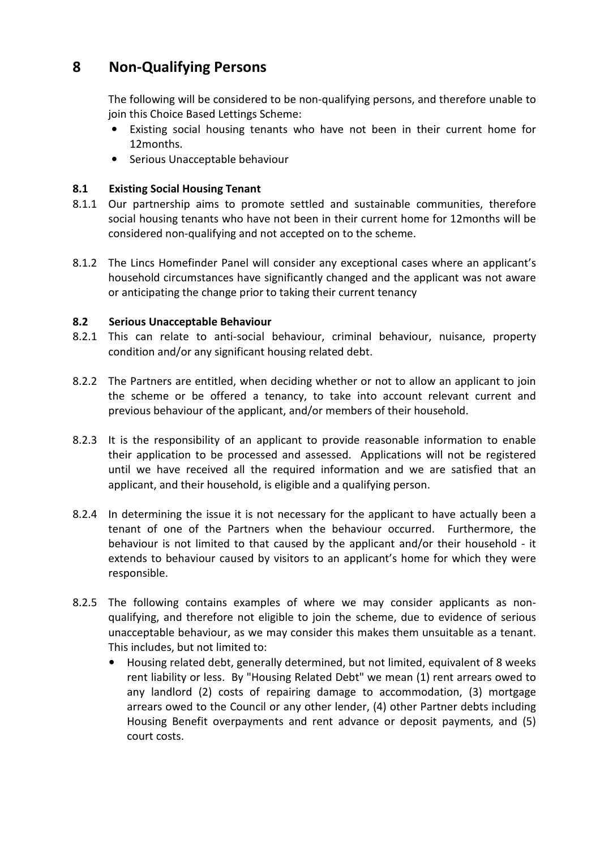# 8 Non-Qualifying Persons

 The following will be considered to be non-qualifying persons, and therefore unable to join this Choice Based Lettings Scheme:

- Existing social housing tenants who have not been in their current home for 12months.
- Serious Unacceptable behaviour

### 8.1 Existing Social Housing Tenant

- 8.1.1 Our partnership aims to promote settled and sustainable communities, therefore social housing tenants who have not been in their current home for 12months will be considered non-qualifying and not accepted on to the scheme.
- 8.1.2 The Lincs Homefinder Panel will consider any exceptional cases where an applicant's household circumstances have significantly changed and the applicant was not aware or anticipating the change prior to taking their current tenancy

### 8.2 Serious Unacceptable Behaviour

- 8.2.1 This can relate to anti-social behaviour, criminal behaviour, nuisance, property condition and/or any significant housing related debt.
- 8.2.2 The Partners are entitled, when deciding whether or not to allow an applicant to join the scheme or be offered a tenancy, to take into account relevant current and previous behaviour of the applicant, and/or members of their household.
- 8.2.3 It is the responsibility of an applicant to provide reasonable information to enable their application to be processed and assessed. Applications will not be registered until we have received all the required information and we are satisfied that an applicant, and their household, is eligible and a qualifying person.
- 8.2.4 In determining the issue it is not necessary for the applicant to have actually been a tenant of one of the Partners when the behaviour occurred. Furthermore, the behaviour is not limited to that caused by the applicant and/or their household - it extends to behaviour caused by visitors to an applicant's home for which they were responsible.
- 8.2.5 The following contains examples of where we may consider applicants as nonqualifying, and therefore not eligible to join the scheme, due to evidence of serious unacceptable behaviour, as we may consider this makes them unsuitable as a tenant. This includes, but not limited to:
	- Housing related debt, generally determined, but not limited, equivalent of 8 weeks rent liability or less. By "Housing Related Debt" we mean (1) rent arrears owed to any landlord (2) costs of repairing damage to accommodation, (3) mortgage arrears owed to the Council or any other lender, (4) other Partner debts including Housing Benefit overpayments and rent advance or deposit payments, and (5) court costs.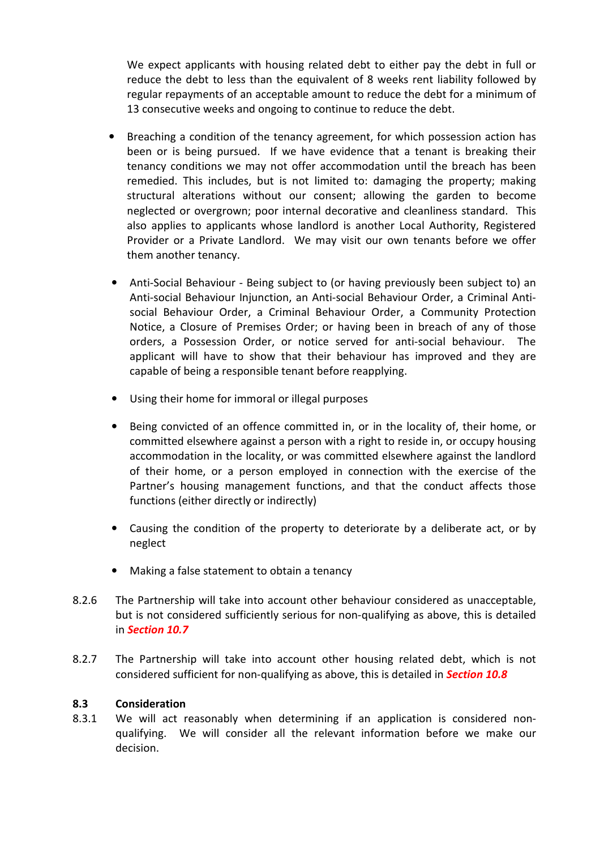We expect applicants with housing related debt to either pay the debt in full or reduce the debt to less than the equivalent of 8 weeks rent liability followed by regular repayments of an acceptable amount to reduce the debt for a minimum of 13 consecutive weeks and ongoing to continue to reduce the debt.

- Breaching a condition of the tenancy agreement, for which possession action has been or is being pursued. If we have evidence that a tenant is breaking their tenancy conditions we may not offer accommodation until the breach has been remedied. This includes, but is not limited to: damaging the property; making structural alterations without our consent; allowing the garden to become neglected or overgrown; poor internal decorative and cleanliness standard. This also applies to applicants whose landlord is another Local Authority, Registered Provider or a Private Landlord. We may visit our own tenants before we offer them another tenancy.
- Anti-Social Behaviour Being subject to (or having previously been subject to) an Anti-social Behaviour Injunction, an Anti-social Behaviour Order, a Criminal Antisocial Behaviour Order, a Criminal Behaviour Order, a Community Protection Notice, a Closure of Premises Order; or having been in breach of any of those orders, a Possession Order, or notice served for anti-social behaviour. The applicant will have to show that their behaviour has improved and they are capable of being a responsible tenant before reapplying.
- Using their home for immoral or illegal purposes
- Being convicted of an offence committed in, or in the locality of, their home, or committed elsewhere against a person with a right to reside in, or occupy housing accommodation in the locality, or was committed elsewhere against the landlord of their home, or a person employed in connection with the exercise of the Partner's housing management functions, and that the conduct affects those functions (either directly or indirectly)
- Causing the condition of the property to deteriorate by a deliberate act, or by neglect
- Making a false statement to obtain a tenancy
- 8.2.6 The Partnership will take into account other behaviour considered as unacceptable, but is not considered sufficiently serious for non-qualifying as above, this is detailed in Section 10.7
- 8.2.7 The Partnership will take into account other housing related debt, which is not considered sufficient for non-qualifying as above, this is detailed in **Section 10.8**

### 8.3 Consideration

8.3.1 We will act reasonably when determining if an application is considered nonqualifying. We will consider all the relevant information before we make our decision.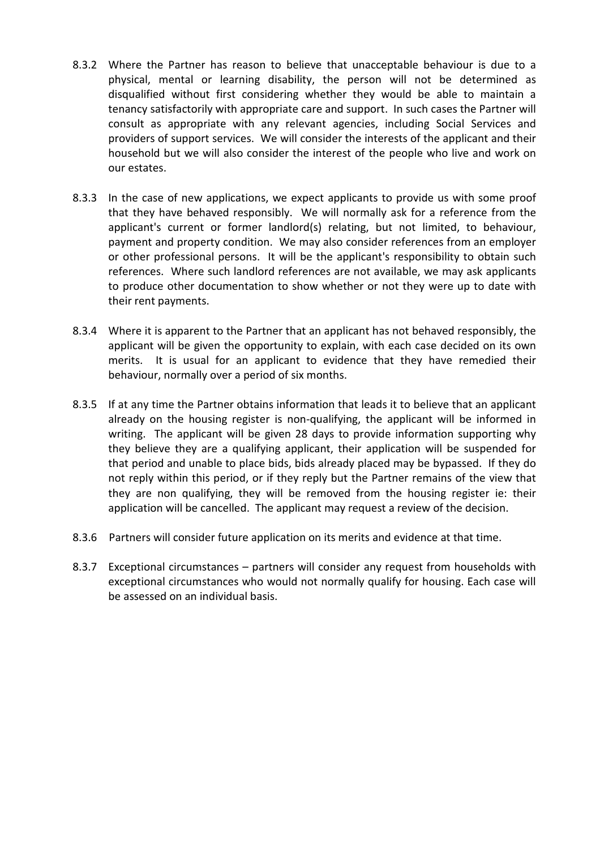- 8.3.2 Where the Partner has reason to believe that unacceptable behaviour is due to a physical, mental or learning disability, the person will not be determined as disqualified without first considering whether they would be able to maintain a tenancy satisfactorily with appropriate care and support. In such cases the Partner will consult as appropriate with any relevant agencies, including Social Services and providers of support services. We will consider the interests of the applicant and their household but we will also consider the interest of the people who live and work on our estates.
- 8.3.3 In the case of new applications, we expect applicants to provide us with some proof that they have behaved responsibly. We will normally ask for a reference from the applicant's current or former landlord(s) relating, but not limited, to behaviour, payment and property condition. We may also consider references from an employer or other professional persons. It will be the applicant's responsibility to obtain such references. Where such landlord references are not available, we may ask applicants to produce other documentation to show whether or not they were up to date with their rent payments.
- 8.3.4 Where it is apparent to the Partner that an applicant has not behaved responsibly, the applicant will be given the opportunity to explain, with each case decided on its own merits. It is usual for an applicant to evidence that they have remedied their behaviour, normally over a period of six months.
- 8.3.5 If at any time the Partner obtains information that leads it to believe that an applicant already on the housing register is non-qualifying, the applicant will be informed in writing. The applicant will be given 28 days to provide information supporting why they believe they are a qualifying applicant, their application will be suspended for that period and unable to place bids, bids already placed may be bypassed. If they do not reply within this period, or if they reply but the Partner remains of the view that they are non qualifying, they will be removed from the housing register ie: their application will be cancelled. The applicant may request a review of the decision.
- 8.3.6 Partners will consider future application on its merits and evidence at that time.
- 8.3.7 Exceptional circumstances partners will consider any request from households with exceptional circumstances who would not normally qualify for housing. Each case will be assessed on an individual basis.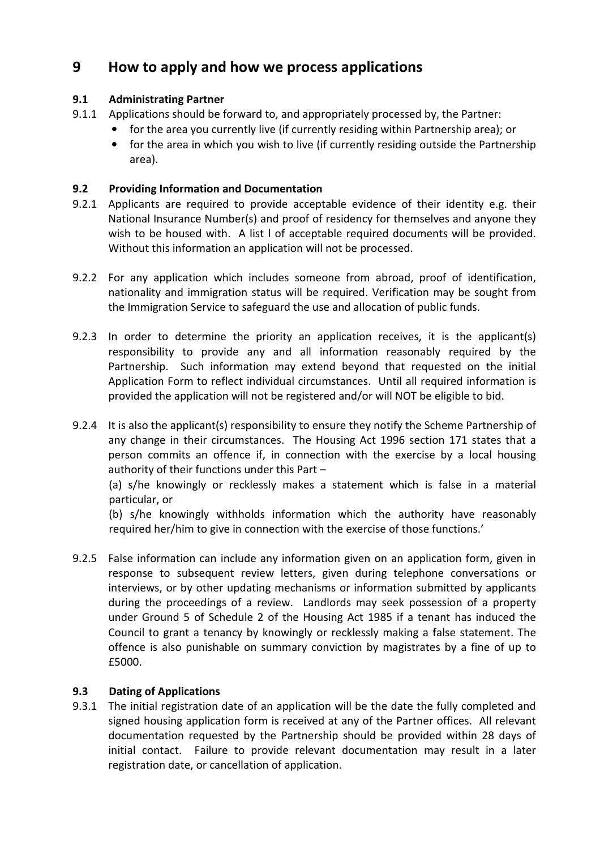# 9 How to apply and how we process applications

### 9.1 Administrating Partner

- 9.1.1 Applications should be forward to, and appropriately processed by, the Partner:
	- for the area you currently live (if currently residing within Partnership area); or
		- for the area in which you wish to live (if currently residing outside the Partnership area).

### 9.2 Providing Information and Documentation

- 9.2.1 Applicants are required to provide acceptable evidence of their identity e.g. their National Insurance Number(s) and proof of residency for themselves and anyone they wish to be housed with. A list l of acceptable required documents will be provided. Without this information an application will not be processed.
- 9.2.2 For any application which includes someone from abroad, proof of identification, nationality and immigration status will be required. Verification may be sought from the Immigration Service to safeguard the use and allocation of public funds.
- 9.2.3 In order to determine the priority an application receives, it is the applicant(s) responsibility to provide any and all information reasonably required by the Partnership. Such information may extend beyond that requested on the initial Application Form to reflect individual circumstances. Until all required information is provided the application will not be registered and/or will NOT be eligible to bid.
- 9.2.4 It is also the applicant(s) responsibility to ensure they notify the Scheme Partnership of any change in their circumstances. The Housing Act 1996 section 171 states that a person commits an offence if, in connection with the exercise by a local housing authority of their functions under this Part –

(a) s/he knowingly or recklessly makes a statement which is false in a material particular, or

(b) s/he knowingly withholds information which the authority have reasonably required her/him to give in connection with the exercise of those functions.'

9.2.5 False information can include any information given on an application form, given in response to subsequent review letters, given during telephone conversations or interviews, or by other updating mechanisms or information submitted by applicants during the proceedings of a review. Landlords may seek possession of a property under Ground 5 of Schedule 2 of the Housing Act 1985 if a tenant has induced the Council to grant a tenancy by knowingly or recklessly making a false statement. The offence is also punishable on summary conviction by magistrates by a fine of up to £5000.

### 9.3 Dating of Applications

9.3.1 The initial registration date of an application will be the date the fully completed and signed housing application form is received at any of the Partner offices. All relevant documentation requested by the Partnership should be provided within 28 days of initial contact. Failure to provide relevant documentation may result in a later registration date, or cancellation of application.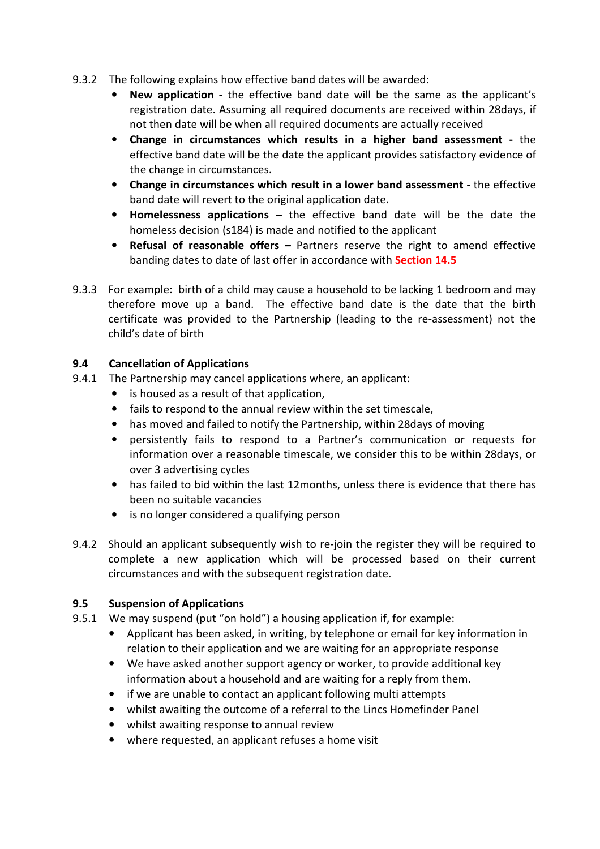- 9.3.2 The following explains how effective band dates will be awarded:
	- New application the effective band date will be the same as the applicant's registration date. Assuming all required documents are received within 28days, if not then date will be when all required documents are actually received
	- Change in circumstances which results in a higher band assessment the effective band date will be the date the applicant provides satisfactory evidence of the change in circumstances.
	- Change in circumstances which result in a lower band assessment the effective band date will revert to the original application date.
	- Homelessness applications the effective band date will be the date the homeless decision (s184) is made and notified to the applicant
	- Refusal of reasonable offers Partners reserve the right to amend effective banding dates to date of last offer in accordance with **Section 14.5**
- 9.3.3 For example: birth of a child may cause a household to be lacking 1 bedroom and may therefore move up a band. The effective band date is the date that the birth certificate was provided to the Partnership (leading to the re-assessment) not the child's date of birth

### 9.4 Cancellation of Applications

- 9.4.1 The Partnership may cancel applications where, an applicant:
	- is housed as a result of that application,
	- fails to respond to the annual review within the set timescale,
	- has moved and failed to notify the Partnership, within 28days of moving
	- persistently fails to respond to a Partner's communication or requests for information over a reasonable timescale, we consider this to be within 28days, or over 3 advertising cycles
	- has failed to bid within the last 12months, unless there is evidence that there has been no suitable vacancies
	- is no longer considered a qualifying person
- 9.4.2 Should an applicant subsequently wish to re-join the register they will be required to complete a new application which will be processed based on their current circumstances and with the subsequent registration date.

### 9.5 Suspension of Applications

- 9.5.1 We may suspend (put "on hold") a housing application if, for example:
	- Applicant has been asked, in writing, by telephone or email for key information in relation to their application and we are waiting for an appropriate response
	- We have asked another support agency or worker, to provide additional key information about a household and are waiting for a reply from them.
	- if we are unable to contact an applicant following multi attempts
	- whilst awaiting the outcome of a referral to the Lincs Homefinder Panel
	- whilst awaiting response to annual review
	- where requested, an applicant refuses a home visit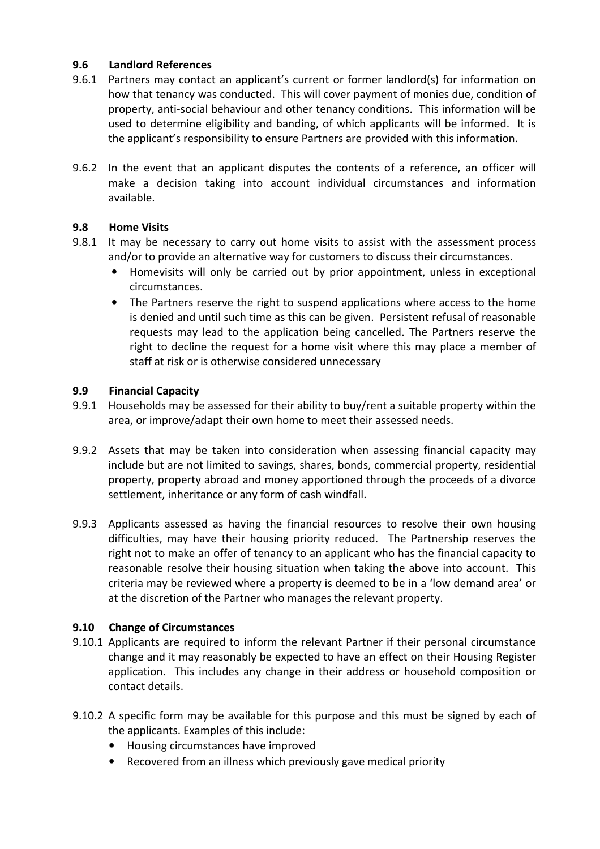### 9.6 Landlord References

- 9.6.1 Partners may contact an applicant's current or former landlord(s) for information on how that tenancy was conducted. This will cover payment of monies due, condition of property, anti-social behaviour and other tenancy conditions. This information will be used to determine eligibility and banding, of which applicants will be informed. It is the applicant's responsibility to ensure Partners are provided with this information.
- 9.6.2 In the event that an applicant disputes the contents of a reference, an officer will make a decision taking into account individual circumstances and information available.

### 9.8 Home Visits

- 9.8.1 It may be necessary to carry out home visits to assist with the assessment process and/or to provide an alternative way for customers to discuss their circumstances.
	- Homevisits will only be carried out by prior appointment, unless in exceptional circumstances.
	- The Partners reserve the right to suspend applications where access to the home is denied and until such time as this can be given. Persistent refusal of reasonable requests may lead to the application being cancelled. The Partners reserve the right to decline the request for a home visit where this may place a member of staff at risk or is otherwise considered unnecessary

### 9.9 Financial Capacity

- 9.9.1 Households may be assessed for their ability to buy/rent a suitable property within the area, or improve/adapt their own home to meet their assessed needs.
- 9.9.2 Assets that may be taken into consideration when assessing financial capacity may include but are not limited to savings, shares, bonds, commercial property, residential property, property abroad and money apportioned through the proceeds of a divorce settlement, inheritance or any form of cash windfall.
- 9.9.3 Applicants assessed as having the financial resources to resolve their own housing difficulties, may have their housing priority reduced. The Partnership reserves the right not to make an offer of tenancy to an applicant who has the financial capacity to reasonable resolve their housing situation when taking the above into account. This criteria may be reviewed where a property is deemed to be in a 'low demand area' or at the discretion of the Partner who manages the relevant property.

### 9.10 Change of Circumstances

- 9.10.1 Applicants are required to inform the relevant Partner if their personal circumstance change and it may reasonably be expected to have an effect on their Housing Register application. This includes any change in their address or household composition or contact details.
- 9.10.2 A specific form may be available for this purpose and this must be signed by each of the applicants. Examples of this include:
	- Housing circumstances have improved
	- Recovered from an illness which previously gave medical priority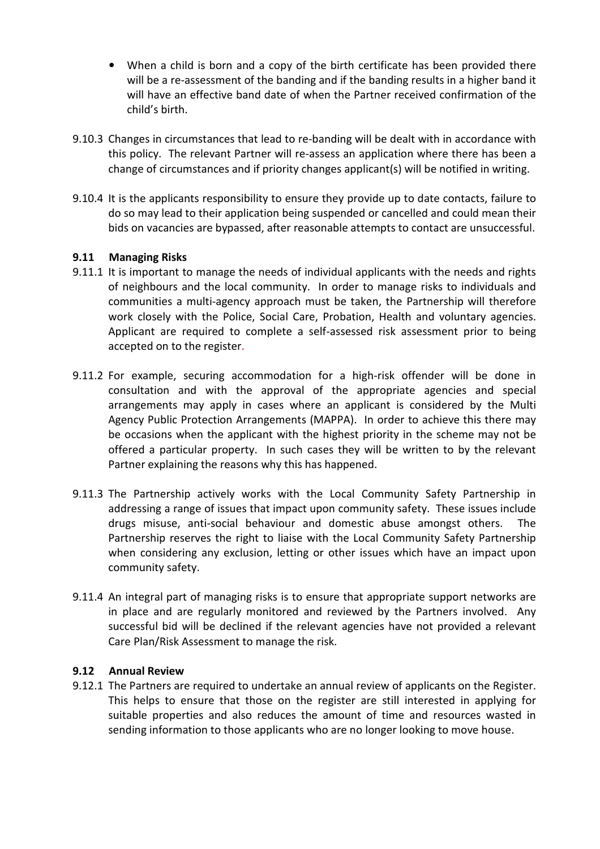- When a child is born and a copy of the birth certificate has been provided there will be a re-assessment of the banding and if the banding results in a higher band it will have an effective band date of when the Partner received confirmation of the child's birth.
- 9.10.3 Changes in circumstances that lead to re-banding will be dealt with in accordance with this policy. The relevant Partner will re-assess an application where there has been a change of circumstances and if priority changes applicant(s) will be notified in writing.
- 9.10.4 It is the applicants responsibility to ensure they provide up to date contacts, failure to do so may lead to their application being suspended or cancelled and could mean their bids on vacancies are bypassed, after reasonable attempts to contact are unsuccessful.

### 9.11 Managing Risks

- 9.11.1 It is important to manage the needs of individual applicants with the needs and rights of neighbours and the local community. In order to manage risks to individuals and communities a multi-agency approach must be taken, the Partnership will therefore work closely with the Police, Social Care, Probation, Health and voluntary agencies. Applicant are required to complete a self-assessed risk assessment prior to being accepted on to the register.
- 9.11.2 For example, securing accommodation for a high-risk offender will be done in consultation and with the approval of the appropriate agencies and special arrangements may apply in cases where an applicant is considered by the Multi Agency Public Protection Arrangements (MAPPA). In order to achieve this there may be occasions when the applicant with the highest priority in the scheme may not be offered a particular property. In such cases they will be written to by the relevant Partner explaining the reasons why this has happened.
- 9.11.3 The Partnership actively works with the Local Community Safety Partnership in addressing a range of issues that impact upon community safety. These issues include drugs misuse, anti-social behaviour and domestic abuse amongst others. The Partnership reserves the right to liaise with the Local Community Safety Partnership when considering any exclusion, letting or other issues which have an impact upon community safety.
- 9.11.4 An integral part of managing risks is to ensure that appropriate support networks are in place and are regularly monitored and reviewed by the Partners involved. Any successful bid will be declined if the relevant agencies have not provided a relevant Care Plan/Risk Assessment to manage the risk.

### 9.12 Annual Review

9.12.1 The Partners are required to undertake an annual review of applicants on the Register. This helps to ensure that those on the register are still interested in applying for suitable properties and also reduces the amount of time and resources wasted in sending information to those applicants who are no longer looking to move house.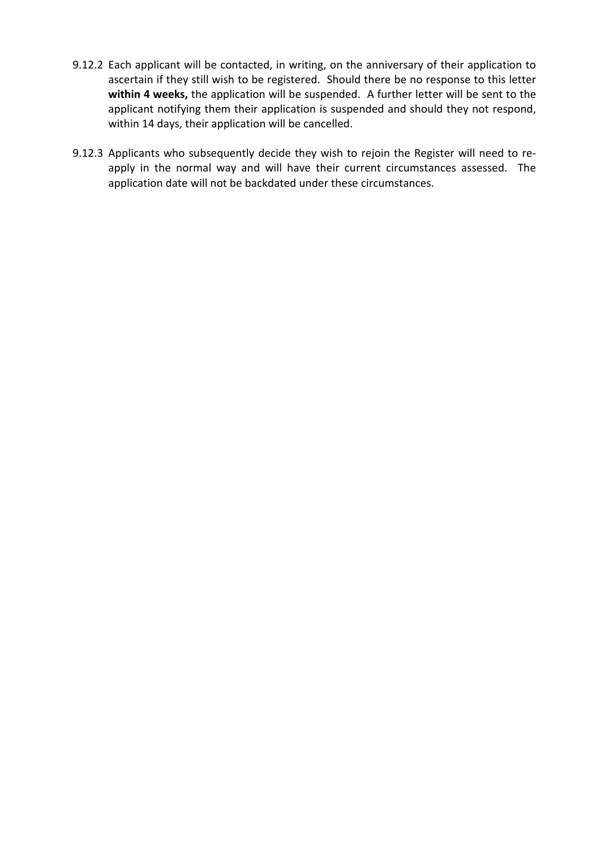- 9.12.2 Each applicant will be contacted, in writing, on the anniversary of their application to ascertain if they still wish to be registered. Should there be no response to this letter within 4 weeks, the application will be suspended. A further letter will be sent to the applicant notifying them their application is suspended and should they not respond, within 14 days, their application will be cancelled.
- 9.12.3 Applicants who subsequently decide they wish to rejoin the Register will need to reapply in the normal way and will have their current circumstances assessed. The application date will not be backdated under these circumstances.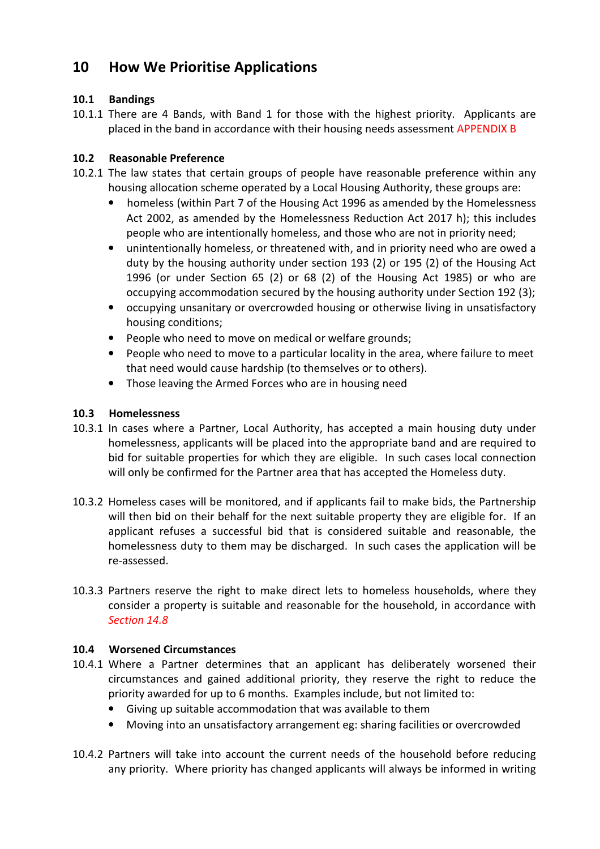# 10 How We Prioritise Applications

### 10.1 Bandings

10.1.1 There are 4 Bands, with Band 1 for those with the highest priority. Applicants are placed in the band in accordance with their housing needs assessment APPENDIX B

### 10.2 Reasonable Preference

- 10.2.1 The law states that certain groups of people have reasonable preference within any housing allocation scheme operated by a Local Housing Authority, these groups are:
	- homeless (within Part 7 of the Housing Act 1996 as amended by the Homelessness Act 2002, as amended by the Homelessness Reduction Act 2017 h); this includes people who are intentionally homeless, and those who are not in priority need;
	- unintentionally homeless, or threatened with, and in priority need who are owed a duty by the housing authority under section 193 (2) or 195 (2) of the Housing Act 1996 (or under Section 65 (2) or 68 (2) of the Housing Act 1985) or who are occupying accommodation secured by the housing authority under Section 192 (3);
	- occupying unsanitary or overcrowded housing or otherwise living in unsatisfactory housing conditions;
	- People who need to move on medical or welfare grounds;
	- People who need to move to a particular locality in the area, where failure to meet that need would cause hardship (to themselves or to others).
	- Those leaving the Armed Forces who are in housing need

### 10.3 Homelessness

- 10.3.1 In cases where a Partner, Local Authority, has accepted a main housing duty under homelessness, applicants will be placed into the appropriate band and are required to bid for suitable properties for which they are eligible. In such cases local connection will only be confirmed for the Partner area that has accepted the Homeless duty.
- 10.3.2 Homeless cases will be monitored, and if applicants fail to make bids, the Partnership will then bid on their behalf for the next suitable property they are eligible for. If an applicant refuses a successful bid that is considered suitable and reasonable, the homelessness duty to them may be discharged. In such cases the application will be re-assessed.
- 10.3.3 Partners reserve the right to make direct lets to homeless households, where they consider a property is suitable and reasonable for the household, in accordance with Section 14.8

### 10.4 Worsened Circumstances

- 10.4.1 Where a Partner determines that an applicant has deliberately worsened their circumstances and gained additional priority, they reserve the right to reduce the priority awarded for up to 6 months. Examples include, but not limited to:
	- Giving up suitable accommodation that was available to them
	- Moving into an unsatisfactory arrangement eg: sharing facilities or overcrowded
- 10.4.2 Partners will take into account the current needs of the household before reducing any priority. Where priority has changed applicants will always be informed in writing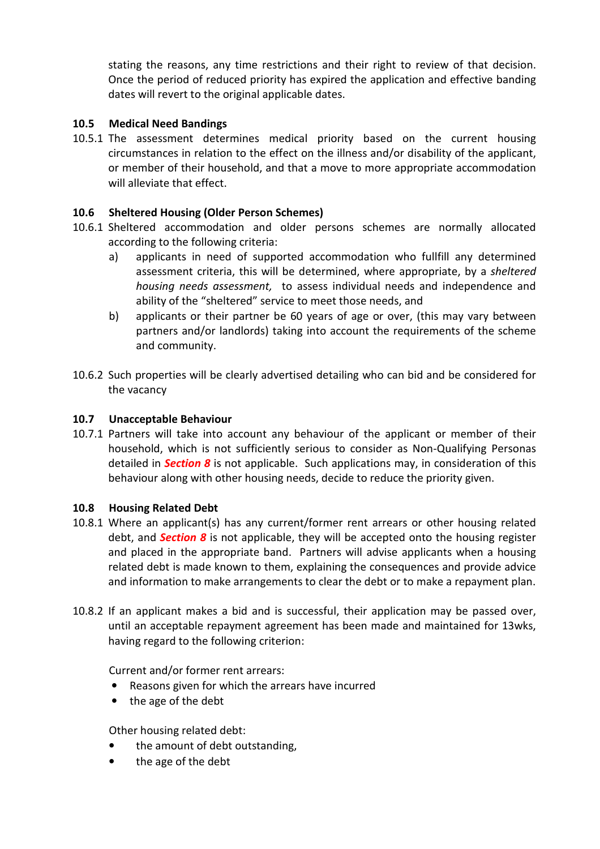stating the reasons, any time restrictions and their right to review of that decision. Once the period of reduced priority has expired the application and effective banding dates will revert to the original applicable dates.

### 10.5 Medical Need Bandings

10.5.1 The assessment determines medical priority based on the current housing circumstances in relation to the effect on the illness and/or disability of the applicant, or member of their household, and that a move to more appropriate accommodation will alleviate that effect.

### 10.6 Sheltered Housing (Older Person Schemes)

- 10.6.1 Sheltered accommodation and older persons schemes are normally allocated according to the following criteria:
	- a) applicants in need of supported accommodation who fullfill any determined assessment criteria, this will be determined, where appropriate, by a sheltered housing needs assessment, to assess individual needs and independence and ability of the "sheltered" service to meet those needs, and
	- b) applicants or their partner be 60 years of age or over, (this may vary between partners and/or landlords) taking into account the requirements of the scheme and community.
- 10.6.2 Such properties will be clearly advertised detailing who can bid and be considered for the vacancy

### 10.7 Unacceptable Behaviour

10.7.1 Partners will take into account any behaviour of the applicant or member of their household, which is not sufficiently serious to consider as Non-Qualifying Personas detailed in **Section 8** is not applicable. Such applications may, in consideration of this behaviour along with other housing needs, decide to reduce the priority given.

### 10.8 Housing Related Debt

- 10.8.1 Where an applicant(s) has any current/former rent arrears or other housing related debt, and **Section 8** is not applicable, they will be accepted onto the housing register and placed in the appropriate band. Partners will advise applicants when a housing related debt is made known to them, explaining the consequences and provide advice and information to make arrangements to clear the debt or to make a repayment plan.
- 10.8.2 If an applicant makes a bid and is successful, their application may be passed over, until an acceptable repayment agreement has been made and maintained for 13wks, having regard to the following criterion:

Current and/or former rent arrears:

- Reasons given for which the arrears have incurred
- the age of the debt

Other housing related debt:

- the amount of debt outstanding,
- the age of the debt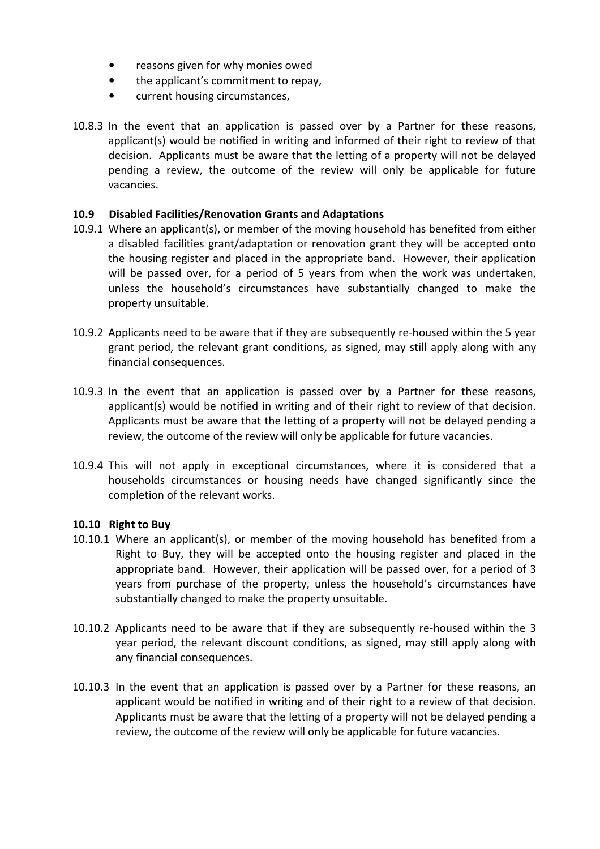- reasons given for why monies owed
- the applicant's commitment to repay,
- current housing circumstances,
- 10.8.3 In the event that an application is passed over by a Partner for these reasons, applicant(s) would be notified in writing and informed of their right to review of that decision. Applicants must be aware that the letting of a property will not be delayed pending a review, the outcome of the review will only be applicable for future vacancies.

### 10.9 Disabled Facilities/Renovation Grants and Adaptations

- 10.9.1 Where an applicant(s), or member of the moving household has benefited from either a disabled facilities grant/adaptation or renovation grant they will be accepted onto the housing register and placed in the appropriate band. However, their application will be passed over, for a period of 5 years from when the work was undertaken, unless the household's circumstances have substantially changed to make the property unsuitable.
- 10.9.2 Applicants need to be aware that if they are subsequently re-housed within the 5 year grant period, the relevant grant conditions, as signed, may still apply along with any financial consequences.
- 10.9.3 In the event that an application is passed over by a Partner for these reasons, applicant(s) would be notified in writing and of their right to review of that decision. Applicants must be aware that the letting of a property will not be delayed pending a review, the outcome of the review will only be applicable for future vacancies.
- 10.9.4 This will not apply in exceptional circumstances, where it is considered that a households circumstances or housing needs have changed significantly since the completion of the relevant works.

### 10.10 Right to Buy

- 10.10.1 Where an applicant(s), or member of the moving household has benefited from a Right to Buy, they will be accepted onto the housing register and placed in the appropriate band. However, their application will be passed over, for a period of 3 years from purchase of the property, unless the household's circumstances have substantially changed to make the property unsuitable.
- 10.10.2 Applicants need to be aware that if they are subsequently re-housed within the 3 year period, the relevant discount conditions, as signed, may still apply along with any financial consequences.
- 10.10.3 In the event that an application is passed over by a Partner for these reasons, an applicant would be notified in writing and of their right to a review of that decision. Applicants must be aware that the letting of a property will not be delayed pending a review, the outcome of the review will only be applicable for future vacancies.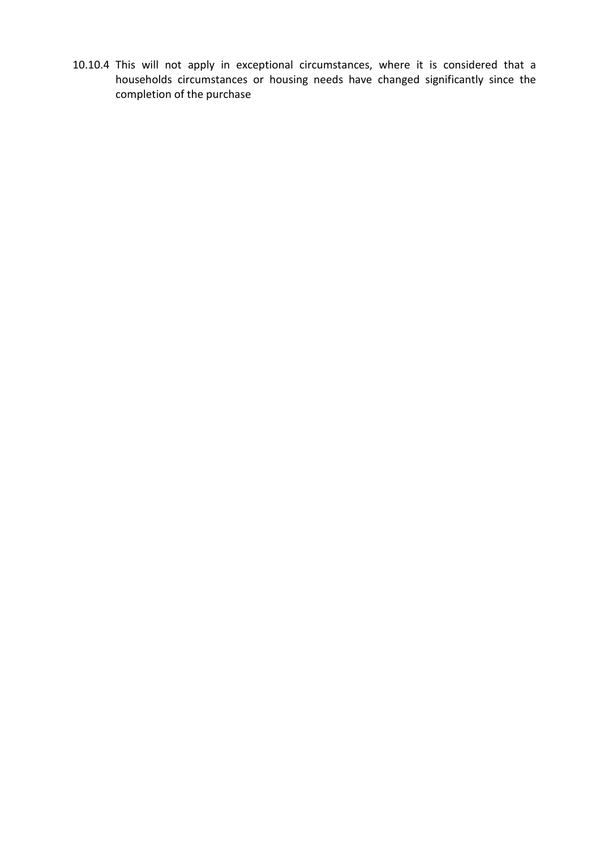10.10.4 This will not apply in exceptional circumstances, where it is considered that a households circumstances or housing needs have changed significantly since the completion of the purchase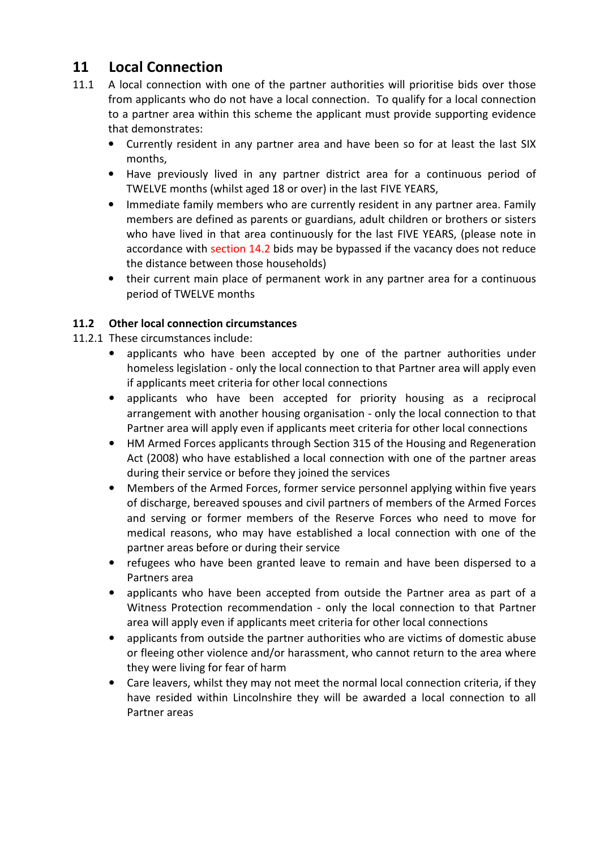# 11 Local Connection

- 11.1 A local connection with one of the partner authorities will prioritise bids over those from applicants who do not have a local connection. To qualify for a local connection to a partner area within this scheme the applicant must provide supporting evidence that demonstrates:
	- Currently resident in any partner area and have been so for at least the last SIX months,
	- Have previously lived in any partner district area for a continuous period of TWELVE months (whilst aged 18 or over) in the last FIVE YEARS,
	- Immediate family members who are currently resident in any partner area. Family members are defined as parents or guardians, adult children or brothers or sisters who have lived in that area continuously for the last FIVE YEARS, (please note in accordance with section 14.2 bids may be bypassed if the vacancy does not reduce the distance between those households)
	- their current main place of permanent work in any partner area for a continuous period of TWELVE months

### 11.2 Other local connection circumstances

- 11.2.1 These circumstances include:
	- applicants who have been accepted by one of the partner authorities under homeless legislation - only the local connection to that Partner area will apply even if applicants meet criteria for other local connections
	- applicants who have been accepted for priority housing as a reciprocal arrangement with another housing organisation - only the local connection to that Partner area will apply even if applicants meet criteria for other local connections
	- HM Armed Forces applicants through Section 315 of the Housing and Regeneration Act (2008) who have established a local connection with one of the partner areas during their service or before they joined the services
	- Members of the Armed Forces, former service personnel applying within five years of discharge, bereaved spouses and civil partners of members of the Armed Forces and serving or former members of the Reserve Forces who need to move for medical reasons, who may have established a local connection with one of the partner areas before or during their service
	- refugees who have been granted leave to remain and have been dispersed to a Partners area
	- applicants who have been accepted from outside the Partner area as part of a Witness Protection recommendation - only the local connection to that Partner area will apply even if applicants meet criteria for other local connections
	- applicants from outside the partner authorities who are victims of domestic abuse or fleeing other violence and/or harassment, who cannot return to the area where they were living for fear of harm
	- Care leavers, whilst they may not meet the normal local connection criteria, if they have resided within Lincolnshire they will be awarded a local connection to all Partner areas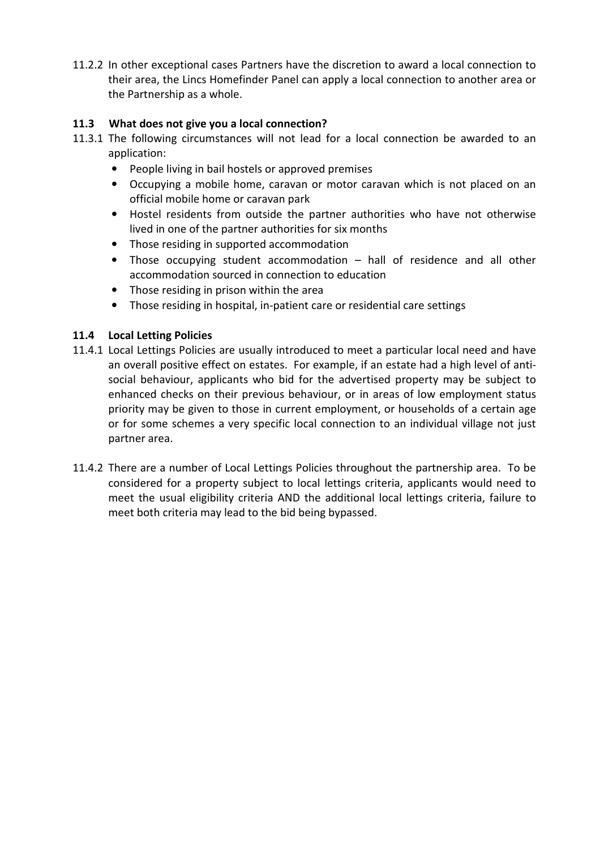11.2.2 In other exceptional cases Partners have the discretion to award a local connection to their area, the Lincs Homefinder Panel can apply a local connection to another area or the Partnership as a whole.

### 11.3 What does not give you a local connection?

- 11.3.1 The following circumstances will not lead for a local connection be awarded to an application:
	- People living in bail hostels or approved premises
	- Occupying a mobile home, caravan or motor caravan which is not placed on an official mobile home or caravan park
	- Hostel residents from outside the partner authorities who have not otherwise lived in one of the partner authorities for six months
	- Those residing in supported accommodation
	- Those occupying student accommodation hall of residence and all other accommodation sourced in connection to education
	- Those residing in prison within the area
	- Those residing in hospital, in-patient care or residential care settings

### 11.4 Local Letting Policies

- 11.4.1 Local Lettings Policies are usually introduced to meet a particular local need and have an overall positive effect on estates. For example, if an estate had a high level of antisocial behaviour, applicants who bid for the advertised property may be subject to enhanced checks on their previous behaviour, or in areas of low employment status priority may be given to those in current employment, or households of a certain age or for some schemes a very specific local connection to an individual village not just partner area.
- 11.4.2 There are a number of Local Lettings Policies throughout the partnership area. To be considered for a property subject to local lettings criteria, applicants would need to meet the usual eligibility criteria AND the additional local lettings criteria, failure to meet both criteria may lead to the bid being bypassed.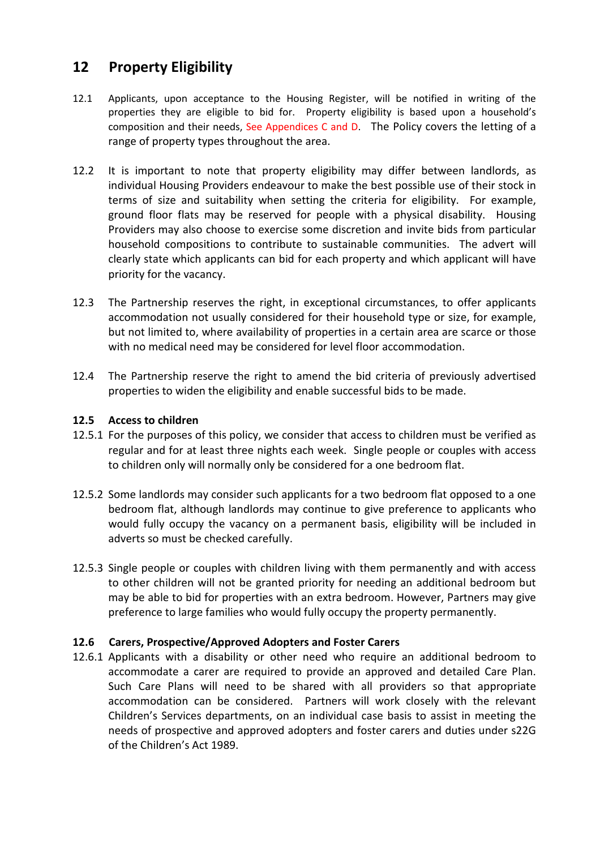# 12 Property Eligibility

- 12.1 Applicants, upon acceptance to the Housing Register, will be notified in writing of the properties they are eligible to bid for. Property eligibility is based upon a household's composition and their needs, See Appendices C and D. The Policy covers the letting of a range of property types throughout the area.
- 12.2 It is important to note that property eligibility may differ between landlords, as individual Housing Providers endeavour to make the best possible use of their stock in terms of size and suitability when setting the criteria for eligibility. For example, ground floor flats may be reserved for people with a physical disability. Housing Providers may also choose to exercise some discretion and invite bids from particular household compositions to contribute to sustainable communities. The advert will clearly state which applicants can bid for each property and which applicant will have priority for the vacancy.
- 12.3 The Partnership reserves the right, in exceptional circumstances, to offer applicants accommodation not usually considered for their household type or size, for example, but not limited to, where availability of properties in a certain area are scarce or those with no medical need may be considered for level floor accommodation.
- 12.4 The Partnership reserve the right to amend the bid criteria of previously advertised properties to widen the eligibility and enable successful bids to be made.

### 12.5 Access to children

- 12.5.1 For the purposes of this policy, we consider that access to children must be verified as regular and for at least three nights each week. Single people or couples with access to children only will normally only be considered for a one bedroom flat.
- 12.5.2 Some landlords may consider such applicants for a two bedroom flat opposed to a one bedroom flat, although landlords may continue to give preference to applicants who would fully occupy the vacancy on a permanent basis, eligibility will be included in adverts so must be checked carefully.
- 12.5.3 Single people or couples with children living with them permanently and with access to other children will not be granted priority for needing an additional bedroom but may be able to bid for properties with an extra bedroom. However, Partners may give preference to large families who would fully occupy the property permanently.

### 12.6 Carers, Prospective/Approved Adopters and Foster Carers

12.6.1 Applicants with a disability or other need who require an additional bedroom to accommodate a carer are required to provide an approved and detailed Care Plan. Such Care Plans will need to be shared with all providers so that appropriate accommodation can be considered. Partners will work closely with the relevant Children's Services departments, on an individual case basis to assist in meeting the needs of prospective and approved adopters and foster carers and duties under s22G of the Children's Act 1989.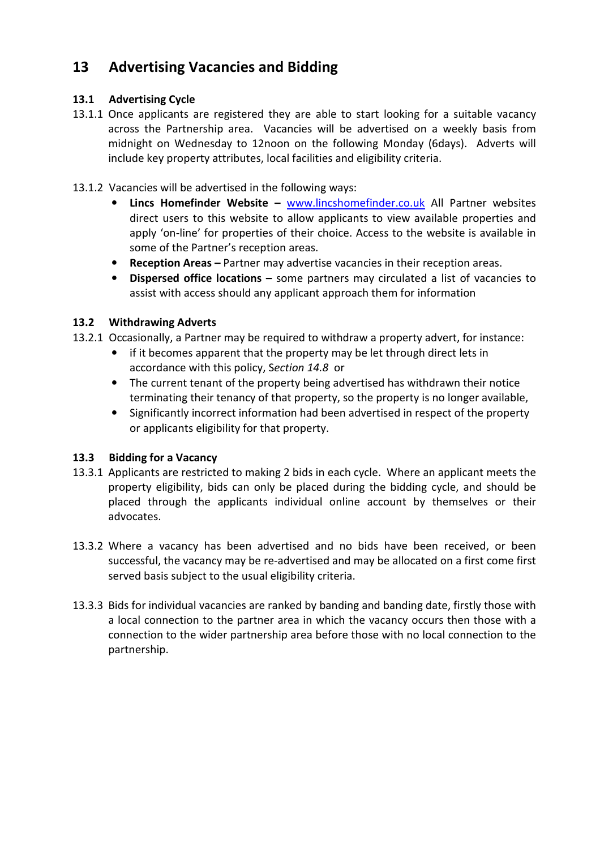# 13 Advertising Vacancies and Bidding

### 13.1 Advertising Cycle

13.1.1 Once applicants are registered they are able to start looking for a suitable vacancy across the Partnership area. Vacancies will be advertised on a weekly basis from midnight on Wednesday to 12noon on the following Monday (6days). Adverts will include key property attributes, local facilities and eligibility criteria.

### 13.1.2 Vacancies will be advertised in the following ways:

- Lincs Homefinder Website www.lincshomefinder.co.uk All Partner websites direct users to this website to allow applicants to view available properties and apply 'on-line' for properties of their choice. Access to the website is available in some of the Partner's reception areas.
- Reception Areas Partner may advertise vacancies in their reception areas.
- Dispersed office locations some partners may circulated a list of vacancies to assist with access should any applicant approach them for information

### 13.2 Withdrawing Adverts

- 13.2.1 Occasionally, a Partner may be required to withdraw a property advert, for instance:
	- if it becomes apparent that the property may be let through direct lets in accordance with this policy, Section 14.8 or
	- The current tenant of the property being advertised has withdrawn their notice terminating their tenancy of that property, so the property is no longer available,
	- Significantly incorrect information had been advertised in respect of the property or applicants eligibility for that property.

### 13.3 Bidding for a Vacancy

- 13.3.1 Applicants are restricted to making 2 bids in each cycle. Where an applicant meets the property eligibility, bids can only be placed during the bidding cycle, and should be placed through the applicants individual online account by themselves or their advocates.
- 13.3.2 Where a vacancy has been advertised and no bids have been received, or been successful, the vacancy may be re-advertised and may be allocated on a first come first served basis subject to the usual eligibility criteria.
- 13.3.3 Bids for individual vacancies are ranked by banding and banding date, firstly those with a local connection to the partner area in which the vacancy occurs then those with a connection to the wider partnership area before those with no local connection to the partnership.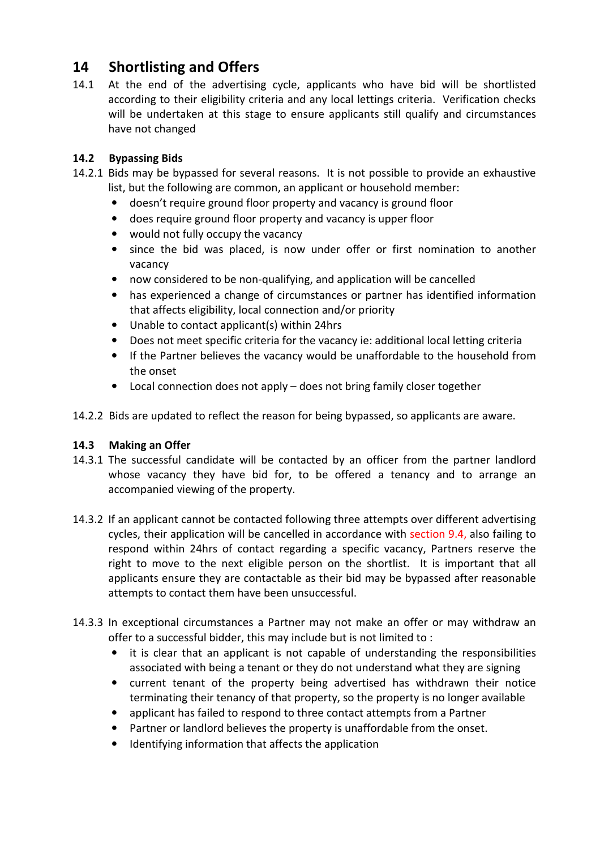# 14 Shortlisting and Offers

14.1 At the end of the advertising cycle, applicants who have bid will be shortlisted according to their eligibility criteria and any local lettings criteria. Verification checks will be undertaken at this stage to ensure applicants still qualify and circumstances have not changed

### 14.2 Bypassing Bids

- 14.2.1 Bids may be bypassed for several reasons. It is not possible to provide an exhaustive list, but the following are common, an applicant or household member:
	- doesn't require ground floor property and vacancy is ground floor
	- does require ground floor property and vacancy is upper floor
	- would not fully occupy the vacancy
	- since the bid was placed, is now under offer or first nomination to another vacancy
	- now considered to be non-qualifying, and application will be cancelled
	- has experienced a change of circumstances or partner has identified information that affects eligibility, local connection and/or priority
	- Unable to contact applicant(s) within 24hrs
	- Does not meet specific criteria for the vacancy ie: additional local letting criteria
	- If the Partner believes the vacancy would be unaffordable to the household from the onset
	- Local connection does not apply does not bring family closer together
- 14.2.2 Bids are updated to reflect the reason for being bypassed, so applicants are aware.

### 14.3 Making an Offer

- 14.3.1 The successful candidate will be contacted by an officer from the partner landlord whose vacancy they have bid for, to be offered a tenancy and to arrange an accompanied viewing of the property.
- 14.3.2 If an applicant cannot be contacted following three attempts over different advertising cycles, their application will be cancelled in accordance with section 9.4, also failing to respond within 24hrs of contact regarding a specific vacancy, Partners reserve the right to move to the next eligible person on the shortlist. It is important that all applicants ensure they are contactable as their bid may be bypassed after reasonable attempts to contact them have been unsuccessful.
- 14.3.3 In exceptional circumstances a Partner may not make an offer or may withdraw an offer to a successful bidder, this may include but is not limited to :
	- it is clear that an applicant is not capable of understanding the responsibilities associated with being a tenant or they do not understand what they are signing
	- current tenant of the property being advertised has withdrawn their notice terminating their tenancy of that property, so the property is no longer available
	- applicant has failed to respond to three contact attempts from a Partner
	- Partner or landlord believes the property is unaffordable from the onset.
	- Identifying information that affects the application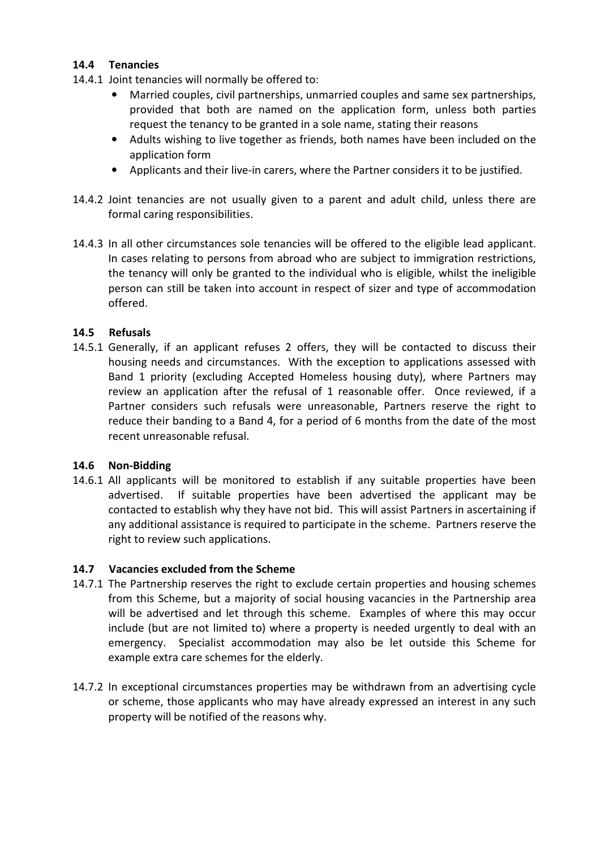### 14.4 Tenancies

- 14.4.1 Joint tenancies will normally be offered to:
	- Married couples, civil partnerships, unmarried couples and same sex partnerships, provided that both are named on the application form, unless both parties request the tenancy to be granted in a sole name, stating their reasons
	- Adults wishing to live together as friends, both names have been included on the application form
	- Applicants and their live-in carers, where the Partner considers it to be justified.
- 14.4.2 Joint tenancies are not usually given to a parent and adult child, unless there are formal caring responsibilities.
- 14.4.3 In all other circumstances sole tenancies will be offered to the eligible lead applicant. In cases relating to persons from abroad who are subject to immigration restrictions, the tenancy will only be granted to the individual who is eligible, whilst the ineligible person can still be taken into account in respect of sizer and type of accommodation offered.

### 14.5 Refusals

14.5.1 Generally, if an applicant refuses 2 offers, they will be contacted to discuss their housing needs and circumstances. With the exception to applications assessed with Band 1 priority (excluding Accepted Homeless housing duty), where Partners may review an application after the refusal of 1 reasonable offer. Once reviewed, if a Partner considers such refusals were unreasonable, Partners reserve the right to reduce their banding to a Band 4, for a period of 6 months from the date of the most recent unreasonable refusal.

### 14.6 Non-Bidding

14.6.1 All applicants will be monitored to establish if any suitable properties have been advertised. If suitable properties have been advertised the applicant may be contacted to establish why they have not bid. This will assist Partners in ascertaining if any additional assistance is required to participate in the scheme. Partners reserve the right to review such applications.

### 14.7 Vacancies excluded from the Scheme

- 14.7.1 The Partnership reserves the right to exclude certain properties and housing schemes from this Scheme, but a majority of social housing vacancies in the Partnership area will be advertised and let through this scheme. Examples of where this may occur include (but are not limited to) where a property is needed urgently to deal with an emergency. Specialist accommodation may also be let outside this Scheme for example extra care schemes for the elderly.
- 14.7.2 In exceptional circumstances properties may be withdrawn from an advertising cycle or scheme, those applicants who may have already expressed an interest in any such property will be notified of the reasons why.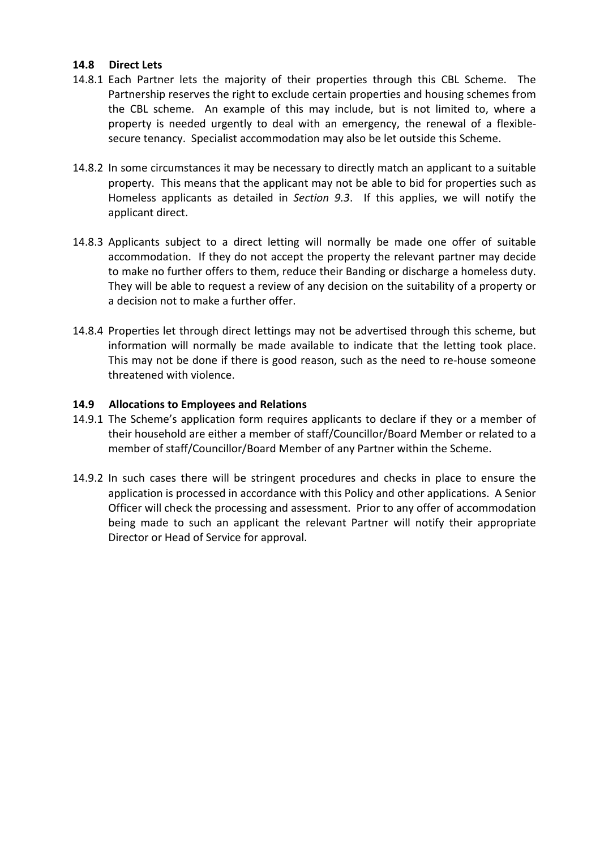### 14.8 Direct Lets

- 14.8.1 Each Partner lets the majority of their properties through this CBL Scheme. The Partnership reserves the right to exclude certain properties and housing schemes from the CBL scheme. An example of this may include, but is not limited to, where a property is needed urgently to deal with an emergency, the renewal of a flexiblesecure tenancy. Specialist accommodation may also be let outside this Scheme.
- 14.8.2 In some circumstances it may be necessary to directly match an applicant to a suitable property. This means that the applicant may not be able to bid for properties such as Homeless applicants as detailed in Section 9.3. If this applies, we will notify the applicant direct.
- 14.8.3 Applicants subject to a direct letting will normally be made one offer of suitable accommodation. If they do not accept the property the relevant partner may decide to make no further offers to them, reduce their Banding or discharge a homeless duty. They will be able to request a review of any decision on the suitability of a property or a decision not to make a further offer.
- 14.8.4 Properties let through direct lettings may not be advertised through this scheme, but information will normally be made available to indicate that the letting took place. This may not be done if there is good reason, such as the need to re-house someone threatened with violence.

### 14.9 Allocations to Employees and Relations

- 14.9.1 The Scheme's application form requires applicants to declare if they or a member of their household are either a member of staff/Councillor/Board Member or related to a member of staff/Councillor/Board Member of any Partner within the Scheme.
- 14.9.2 In such cases there will be stringent procedures and checks in place to ensure the application is processed in accordance with this Policy and other applications. A Senior Officer will check the processing and assessment. Prior to any offer of accommodation being made to such an applicant the relevant Partner will notify their appropriate Director or Head of Service for approval.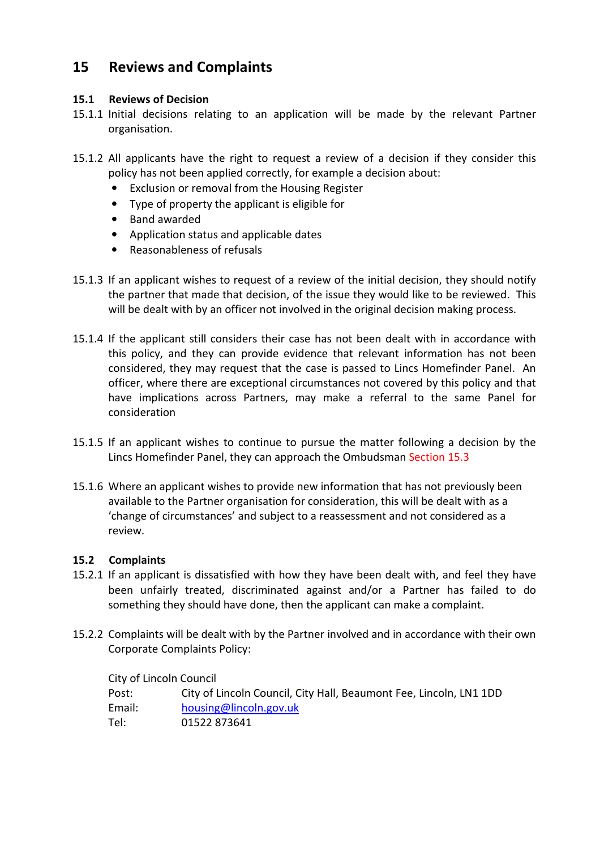# 15 Reviews and Complaints

### 15.1 Reviews of Decision

- 15.1.1 Initial decisions relating to an application will be made by the relevant Partner organisation.
- 15.1.2 All applicants have the right to request a review of a decision if they consider this policy has not been applied correctly, for example a decision about:
	- Exclusion or removal from the Housing Register
	- Type of property the applicant is eligible for
	- Band awarded
	- Application status and applicable dates
	- Reasonableness of refusals
- 15.1.3 If an applicant wishes to request of a review of the initial decision, they should notify the partner that made that decision, of the issue they would like to be reviewed. This will be dealt with by an officer not involved in the original decision making process.
- 15.1.4 If the applicant still considers their case has not been dealt with in accordance with this policy, and they can provide evidence that relevant information has not been considered, they may request that the case is passed to Lincs Homefinder Panel. An officer, where there are exceptional circumstances not covered by this policy and that have implications across Partners, may make a referral to the same Panel for consideration
- 15.1.5 If an applicant wishes to continue to pursue the matter following a decision by the Lincs Homefinder Panel, they can approach the Ombudsman Section 15.3
- 15.1.6 Where an applicant wishes to provide new information that has not previously been available to the Partner organisation for consideration, this will be dealt with as a 'change of circumstances' and subject to a reassessment and not considered as a review.

### 15.2 Complaints

- 15.2.1 If an applicant is dissatisfied with how they have been dealt with, and feel they have been unfairly treated, discriminated against and/or a Partner has failed to do something they should have done, then the applicant can make a complaint.
- 15.2.2 Complaints will be dealt with by the Partner involved and in accordance with their own Corporate Complaints Policy:

City of Lincoln Council

| City of Lincoln Council, City Hall, Beaumont Fee, Lincoln, LN1 1DD |
|--------------------------------------------------------------------|
| housing@lincoln.gov.uk                                             |
| 01522 873641                                                       |
|                                                                    |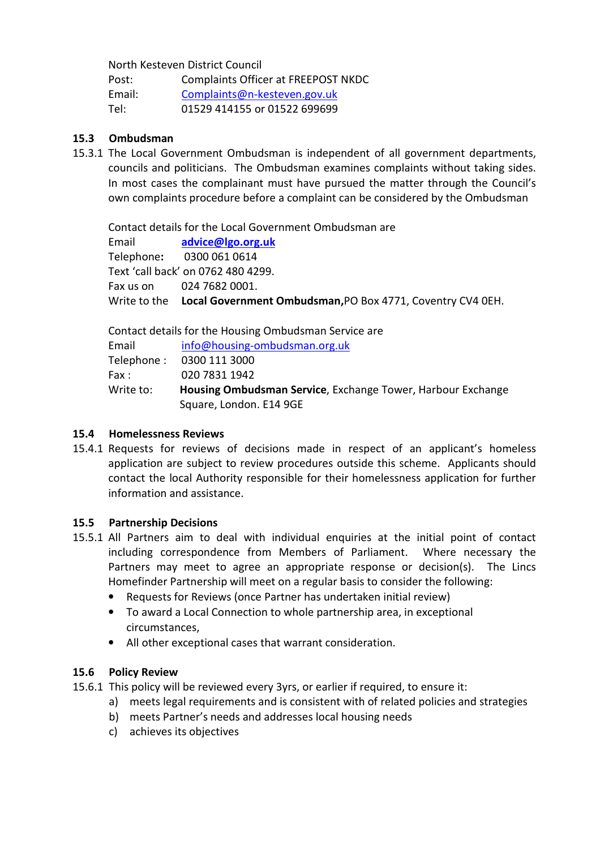North Kesteven District Council

| Post:  | Complaints Officer at FREEPOST NKDC |
|--------|-------------------------------------|
| Fmail: | Complaints@n-kesteven.gov.uk        |
| Tel:   | 01529 414155 or 01522 699699        |

### 15.3 Ombudsman

15.3.1 The Local Government Ombudsman is independent of all government departments, councils and politicians. The Ombudsman examines complaints without taking sides. In most cases the complainant must have pursued the matter through the Council's own complaints procedure before a complaint can be considered by the Ombudsman

Contact details for the Local Government Ombudsman are Email advice@lgo.org.uk Telephone: 0300 061 0614 Text 'call back' on 0762 480 4299. Fax us on 024 7682 0001. Write to the Local Government Ombudsman, PO Box 4771, Coventry CV4 0EH.

|           | Contact details for the Housing Ombudsman Service are       |
|-----------|-------------------------------------------------------------|
| Email     | info@housing-ombudsman.org.uk                               |
|           | Telephone: 0300 111 3000                                    |
| Fax :     | 020 7831 1942                                               |
| Write to: | Housing Ombudsman Service, Exchange Tower, Harbour Exchange |
|           | Square, London. E14 9GE                                     |

### 15.4 Homelessness Reviews

15.4.1 Requests for reviews of decisions made in respect of an applicant's homeless application are subject to review procedures outside this scheme. Applicants should contact the local Authority responsible for their homelessness application for further information and assistance.

### 15.5 Partnership Decisions

- 15.5.1 All Partners aim to deal with individual enquiries at the initial point of contact including correspondence from Members of Parliament. Where necessary the Partners may meet to agree an appropriate response or decision(s). The Lincs Homefinder Partnership will meet on a regular basis to consider the following:
	- Requests for Reviews (once Partner has undertaken initial review)
	- To award a Local Connection to whole partnership area, in exceptional circumstances,
	- All other exceptional cases that warrant consideration.

### 15.6 Policy Review

- 15.6.1 This policy will be reviewed every 3yrs, or earlier if required, to ensure it:
	- a) meets legal requirements and is consistent with of related policies and strategies
		- b) meets Partner's needs and addresses local housing needs
		- c) achieves its objectives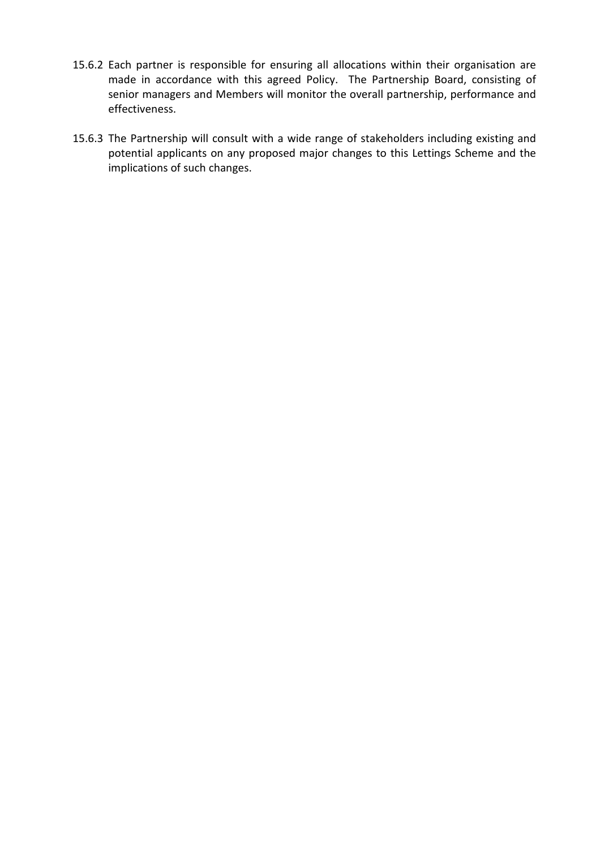- 15.6.2 Each partner is responsible for ensuring all allocations within their organisation are made in accordance with this agreed Policy. The Partnership Board, consisting of senior managers and Members will monitor the overall partnership, performance and effectiveness.
- 15.6.3 The Partnership will consult with a wide range of stakeholders including existing and potential applicants on any proposed major changes to this Lettings Scheme and the implications of such changes.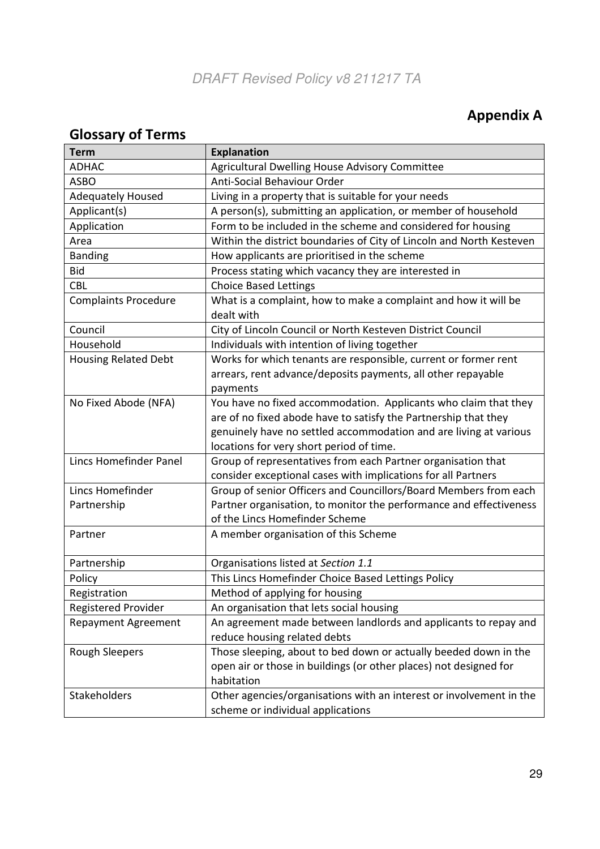# Appendix A

# Glossary of Terms

| <b>Term</b>                 | <b>Explanation</b>                                                                                                                                                                                                                                  |
|-----------------------------|-----------------------------------------------------------------------------------------------------------------------------------------------------------------------------------------------------------------------------------------------------|
| <b>ADHAC</b>                | Agricultural Dwelling House Advisory Committee                                                                                                                                                                                                      |
| <b>ASBO</b>                 | Anti-Social Behaviour Order                                                                                                                                                                                                                         |
| <b>Adequately Housed</b>    | Living in a property that is suitable for your needs                                                                                                                                                                                                |
| Applicant(s)                | A person(s), submitting an application, or member of household                                                                                                                                                                                      |
| Application                 | Form to be included in the scheme and considered for housing                                                                                                                                                                                        |
| Area                        | Within the district boundaries of City of Lincoln and North Kesteven                                                                                                                                                                                |
| <b>Banding</b>              | How applicants are prioritised in the scheme                                                                                                                                                                                                        |
| <b>Bid</b>                  | Process stating which vacancy they are interested in                                                                                                                                                                                                |
| <b>CBL</b>                  | <b>Choice Based Lettings</b>                                                                                                                                                                                                                        |
| <b>Complaints Procedure</b> | What is a complaint, how to make a complaint and how it will be<br>dealt with                                                                                                                                                                       |
| Council                     | City of Lincoln Council or North Kesteven District Council                                                                                                                                                                                          |
| Household                   | Individuals with intention of living together                                                                                                                                                                                                       |
| <b>Housing Related Debt</b> | Works for which tenants are responsible, current or former rent<br>arrears, rent advance/deposits payments, all other repayable<br>payments                                                                                                         |
| No Fixed Abode (NFA)        | You have no fixed accommodation. Applicants who claim that they<br>are of no fixed abode have to satisfy the Partnership that they<br>genuinely have no settled accommodation and are living at various<br>locations for very short period of time. |
| Lincs Homefinder Panel      | Group of representatives from each Partner organisation that<br>consider exceptional cases with implications for all Partners                                                                                                                       |
| Lincs Homefinder            | Group of senior Officers and Councillors/Board Members from each                                                                                                                                                                                    |
| Partnership                 | Partner organisation, to monitor the performance and effectiveness<br>of the Lincs Homefinder Scheme                                                                                                                                                |
| Partner                     | A member organisation of this Scheme                                                                                                                                                                                                                |
| Partnership                 | Organisations listed at Section 1.1                                                                                                                                                                                                                 |
| Policy                      | This Lincs Homefinder Choice Based Lettings Policy                                                                                                                                                                                                  |
| Registration                | Method of applying for housing                                                                                                                                                                                                                      |
| <b>Registered Provider</b>  | An organisation that lets social housing                                                                                                                                                                                                            |
| <b>Repayment Agreement</b>  | An agreement made between landlords and applicants to repay and<br>reduce housing related debts                                                                                                                                                     |
| <b>Rough Sleepers</b>       | Those sleeping, about to bed down or actually beeded down in the<br>open air or those in buildings (or other places) not designed for<br>habitation                                                                                                 |
| Stakeholders                | Other agencies/organisations with an interest or involvement in the<br>scheme or individual applications                                                                                                                                            |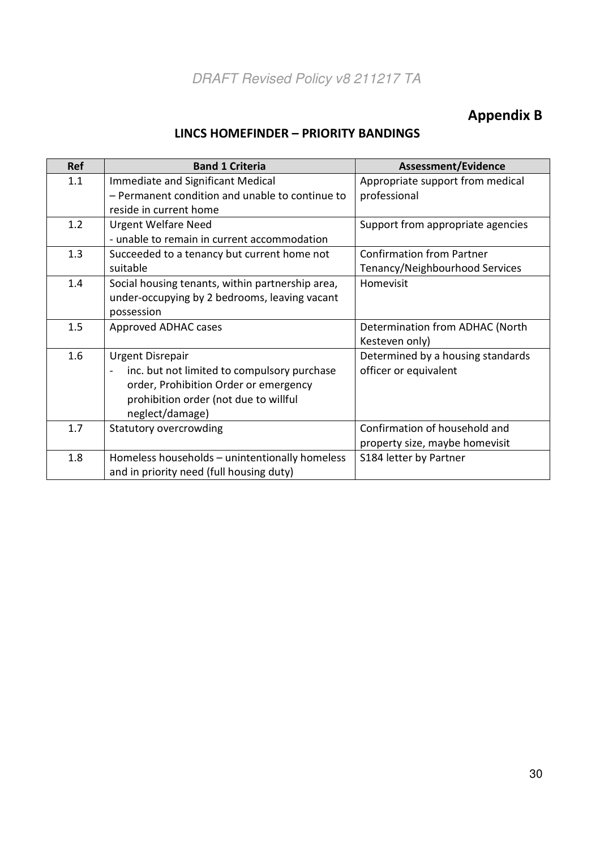# Appendix B

# LINCS HOMEFINDER – PRIORITY BANDINGS

| <b>Ref</b> | <b>Band 1 Criteria</b>                                                  | Assessment/Evidence               |
|------------|-------------------------------------------------------------------------|-----------------------------------|
| 1.1        | Immediate and Significant Medical                                       | Appropriate support from medical  |
|            | - Permanent condition and unable to continue to                         | professional                      |
|            | reside in current home                                                  |                                   |
| 1.2        | <b>Urgent Welfare Need</b>                                              | Support from appropriate agencies |
|            | - unable to remain in current accommodation                             |                                   |
| 1.3        | Succeeded to a tenancy but current home not                             | <b>Confirmation from Partner</b>  |
|            | suitable                                                                | Tenancy/Neighbourhood Services    |
| 1.4        | Social housing tenants, within partnership area,                        | Homevisit                         |
|            | under-occupying by 2 bedrooms, leaving vacant                           |                                   |
|            | possession                                                              |                                   |
| 1.5        | Approved ADHAC cases                                                    | Determination from ADHAC (North   |
|            |                                                                         | Kesteven only)                    |
| 1.6        | <b>Urgent Disrepair</b>                                                 | Determined by a housing standards |
|            | inc. but not limited to compulsory purchase<br>$\overline{\phantom{a}}$ | officer or equivalent             |
|            | order, Prohibition Order or emergency                                   |                                   |
|            | prohibition order (not due to willful                                   |                                   |
|            | neglect/damage)                                                         |                                   |
| 1.7        | Statutory overcrowding                                                  | Confirmation of household and     |
|            |                                                                         | property size, maybe homevisit    |
| 1.8        | Homeless households - unintentionally homeless                          | S184 letter by Partner            |
|            | and in priority need (full housing duty)                                |                                   |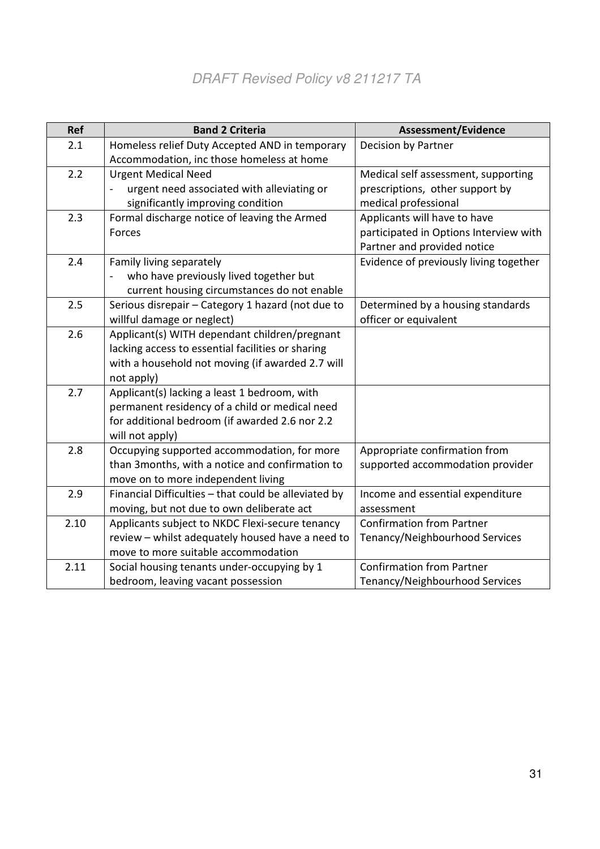| <b>Ref</b> | <b>Band 2 Criteria</b>                               | <b>Assessment/Evidence</b>             |
|------------|------------------------------------------------------|----------------------------------------|
| 2.1        | Homeless relief Duty Accepted AND in temporary       | Decision by Partner                    |
|            | Accommodation, inc those homeless at home            |                                        |
| 2.2        | <b>Urgent Medical Need</b>                           | Medical self assessment, supporting    |
|            | urgent need associated with alleviating or           | prescriptions, other support by        |
|            | significantly improving condition                    | medical professional                   |
| 2.3        | Formal discharge notice of leaving the Armed         | Applicants will have to have           |
|            | Forces                                               | participated in Options Interview with |
|            |                                                      | Partner and provided notice            |
| 2.4        | Family living separately                             | Evidence of previously living together |
|            | who have previously lived together but               |                                        |
|            | current housing circumstances do not enable          |                                        |
| 2.5        | Serious disrepair - Category 1 hazard (not due to    | Determined by a housing standards      |
|            | willful damage or neglect)                           | officer or equivalent                  |
| 2.6        | Applicant(s) WITH dependant children/pregnant        |                                        |
|            | lacking access to essential facilities or sharing    |                                        |
|            | with a household not moving (if awarded 2.7 will     |                                        |
|            | not apply)                                           |                                        |
| 2.7        | Applicant(s) lacking a least 1 bedroom, with         |                                        |
|            | permanent residency of a child or medical need       |                                        |
|            | for additional bedroom (if awarded 2.6 nor 2.2       |                                        |
|            | will not apply)                                      |                                        |
| 2.8        | Occupying supported accommodation, for more          | Appropriate confirmation from          |
|            | than 3months, with a notice and confirmation to      | supported accommodation provider       |
|            | move on to more independent living                   |                                        |
| 2.9        | Financial Difficulties - that could be alleviated by | Income and essential expenditure       |
|            | moving, but not due to own deliberate act            | assessment                             |
| 2.10       | Applicants subject to NKDC Flexi-secure tenancy      | <b>Confirmation from Partner</b>       |
|            | review - whilst adequately housed have a need to     | Tenancy/Neighbourhood Services         |
|            | move to more suitable accommodation                  |                                        |
| 2.11       | Social housing tenants under-occupying by 1          | <b>Confirmation from Partner</b>       |
|            | bedroom, leaving vacant possession                   | Tenancy/Neighbourhood Services         |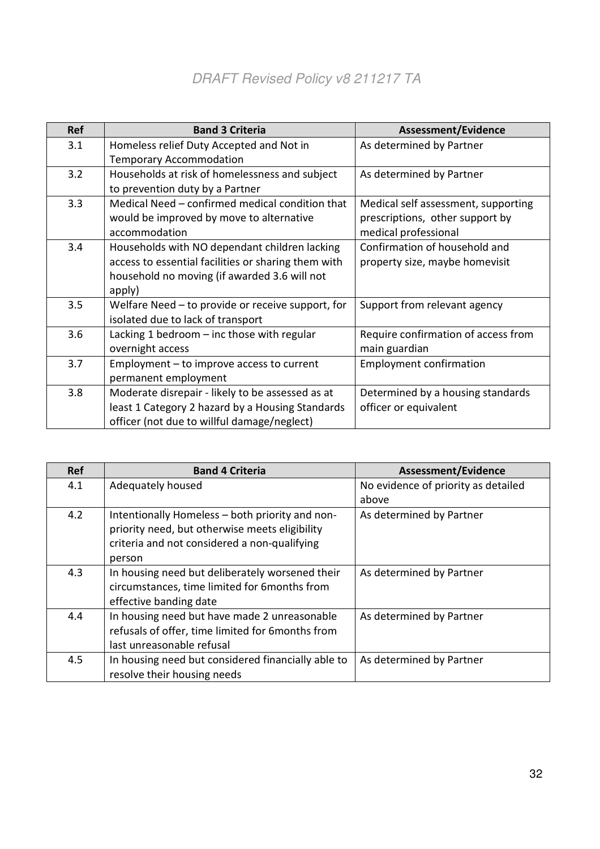| <b>Ref</b> | <b>Band 3 Criteria</b>                              | Assessment/Evidence                 |
|------------|-----------------------------------------------------|-------------------------------------|
| 3.1        | Homeless relief Duty Accepted and Not in            | As determined by Partner            |
|            | <b>Temporary Accommodation</b>                      |                                     |
| 3.2        | Households at risk of homelessness and subject      | As determined by Partner            |
|            | to prevention duty by a Partner                     |                                     |
| 3.3        | Medical Need - confirmed medical condition that     | Medical self assessment, supporting |
|            | would be improved by move to alternative            | prescriptions, other support by     |
|            | accommodation                                       | medical professional                |
| 3.4        | Households with NO dependant children lacking       | Confirmation of household and       |
|            | access to essential facilities or sharing them with | property size, maybe homevisit      |
|            | household no moving (if awarded 3.6 will not        |                                     |
|            | apply)                                              |                                     |
| 3.5        | Welfare Need - to provide or receive support, for   | Support from relevant agency        |
|            | isolated due to lack of transport                   |                                     |
| 3.6        | Lacking 1 bedroom - inc those with regular          | Require confirmation of access from |
|            | overnight access                                    | main guardian                       |
| 3.7        | Employment – to improve access to current           | <b>Employment confirmation</b>      |
|            | permanent employment                                |                                     |
| 3.8        | Moderate disrepair - likely to be assessed as at    | Determined by a housing standards   |
|            | least 1 Category 2 hazard by a Housing Standards    | officer or equivalent               |
|            | officer (not due to willful damage/neglect)         |                                     |

| <b>Ref</b> | <b>Band 4 Criteria</b>                             | <b>Assessment/Evidence</b>          |
|------------|----------------------------------------------------|-------------------------------------|
| 4.1        | Adequately housed                                  | No evidence of priority as detailed |
|            |                                                    | above                               |
| 4.2        | Intentionally Homeless - both priority and non-    | As determined by Partner            |
|            | priority need, but otherwise meets eligibility     |                                     |
|            | criteria and not considered a non-qualifying       |                                     |
|            | person                                             |                                     |
| 4.3        | In housing need but deliberately worsened their    | As determined by Partner            |
|            | circumstances, time limited for 6 months from      |                                     |
|            | effective banding date                             |                                     |
| 4.4        | In housing need but have made 2 unreasonable       | As determined by Partner            |
|            | refusals of offer, time limited for 6months from   |                                     |
|            | last unreasonable refusal                          |                                     |
| 4.5        | In housing need but considered financially able to | As determined by Partner            |
|            | resolve their housing needs                        |                                     |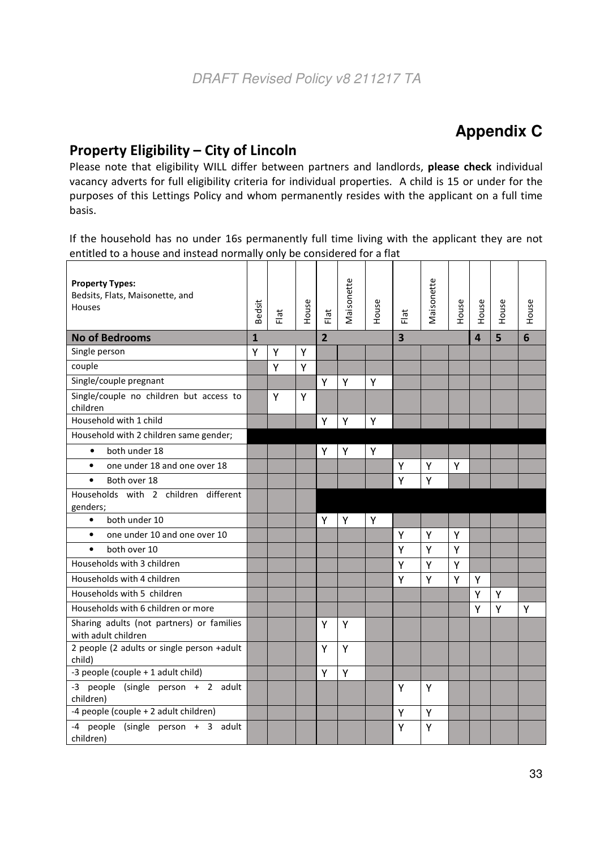# **Appendix C**

# Property Eligibility – City of Lincoln

Please note that eligibility WILL differ between partners and landlords, please check individual vacancy adverts for full eligibility criteria for individual properties. A child is 15 or under for the purposes of this Lettings Policy and whom permanently resides with the applicant on a full time basis.

If the household has no under 16s permanently full time living with the applicant they are not entitled to a house and instead normally only be considered for a flat

| <b>Property Types:</b><br>Bedsits, Flats, Maisonette, and<br>Houses | Bedsit       | Flat | House | Flat           | Vlaisonette | House | Flat | Maisonette | House                   | House | House | House |
|---------------------------------------------------------------------|--------------|------|-------|----------------|-------------|-------|------|------------|-------------------------|-------|-------|-------|
| <b>No of Bedrooms</b>                                               | $\mathbf{1}$ |      |       | $\overline{2}$ |             | 3     |      |            | $\overline{\mathbf{A}}$ | 5     | 6     |       |
| Single person                                                       | Υ            | Y    | Υ     |                |             |       |      |            |                         |       |       |       |
| couple                                                              |              | Y    | Y     |                |             |       |      |            |                         |       |       |       |
| Single/couple pregnant                                              |              |      |       | Y              | Y           | Y     |      |            |                         |       |       |       |
| Single/couple no children but access to<br>children                 |              | Y    | Y     |                |             |       |      |            |                         |       |       |       |
| Household with 1 child                                              |              |      |       | Υ              | Y           | Y     |      |            |                         |       |       |       |
| Household with 2 children same gender;                              |              |      |       |                |             |       |      |            |                         |       |       |       |
| both under 18<br>$\bullet$                                          |              |      |       | Υ              | Υ           | Υ     |      |            |                         |       |       |       |
| one under 18 and one over 18<br>$\bullet$                           |              |      |       |                |             |       | Y    | Υ          | Y                       |       |       |       |
| $\bullet$<br>Both over 18                                           |              |      |       |                |             |       | Y    | Y          |                         |       |       |       |
| Households with 2 children different<br>genders;                    |              |      |       |                |             |       |      |            |                         |       |       |       |
| both under 10<br>$\bullet$                                          |              |      |       | Y              | Y           | Y     |      |            |                         |       |       |       |
| one under 10 and one over 10<br>$\bullet$                           |              |      |       |                |             |       | Υ    | Y          | Y                       |       |       |       |
| both over 10<br>$\bullet$                                           |              |      |       |                |             |       | Y    | Y          | Y                       |       |       |       |
| Households with 3 children                                          |              |      |       |                |             |       | Y    | Y          | Y                       |       |       |       |
| Households with 4 children                                          |              |      |       |                |             |       | Y    | Y          | Y                       | Y     |       |       |
| Households with 5 children                                          |              |      |       |                |             |       |      |            |                         | Y     | Y     |       |
| Households with 6 children or more                                  |              |      |       |                |             |       |      |            |                         | Υ     | Y     | Y     |
| Sharing adults (not partners) or families<br>with adult children    |              |      |       | Υ              | Y           |       |      |            |                         |       |       |       |
| 2 people (2 adults or single person +adult<br>child)                |              |      |       | Υ              | Y           |       |      |            |                         |       |       |       |
| -3 people (couple + 1 adult child)                                  |              |      |       | Υ              | Y           |       |      |            |                         |       |       |       |
| -3 people (single person + 2 adult<br>children)                     |              |      |       |                |             |       | Y    | Y          |                         |       |       |       |
| -4 people (couple + 2 adult children)                               |              |      |       |                |             |       | Y    | Υ          |                         |       |       |       |
| -4 people (single person + 3 adult<br>children)                     |              |      |       |                |             |       | Y    | Y          |                         |       |       |       |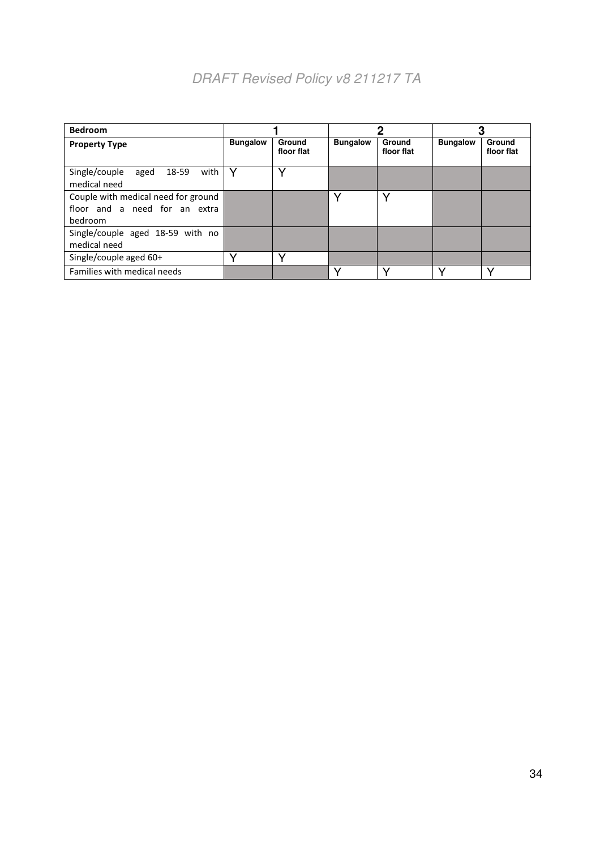| <b>Bedroom</b>                                                                  |                 |                      |                 | כי                   |                 |                      |  |
|---------------------------------------------------------------------------------|-----------------|----------------------|-----------------|----------------------|-----------------|----------------------|--|
| <b>Property Type</b>                                                            | <b>Bungalow</b> | Ground<br>floor flat | <b>Bungalow</b> | Ground<br>floor flat | <b>Bungalow</b> | Ground<br>floor flat |  |
| with<br>Single/couple<br>18-59<br>aged<br>medical need                          | v               | ◡                    |                 |                      |                 |                      |  |
| Couple with medical need for ground<br>floor and a need for an extra<br>bedroom |                 |                      |                 | v                    |                 |                      |  |
| Single/couple aged 18-59 with no<br>medical need                                |                 |                      |                 |                      |                 |                      |  |
| Single/couple aged 60+                                                          |                 | v                    |                 |                      |                 |                      |  |
| Families with medical needs                                                     |                 |                      |                 |                      |                 | v                    |  |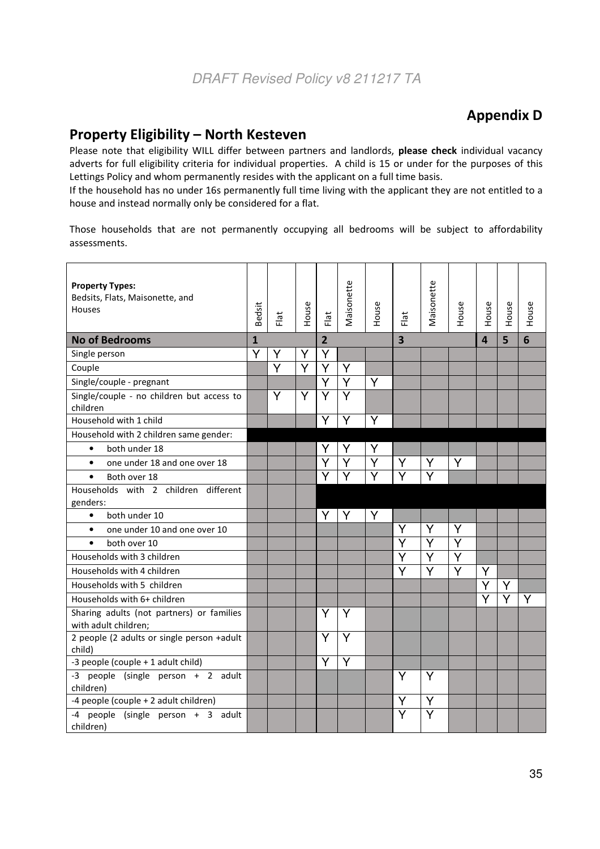# Appendix D

## Property Eligibility – North Kesteven

Please note that eligibility WILL differ between partners and landlords, please check individual vacancy adverts for full eligibility criteria for individual properties. A child is 15 or under for the purposes of this Lettings Policy and whom permanently resides with the applicant on a full time basis.

If the household has no under 16s permanently full time living with the applicant they are not entitled to a house and instead normally only be considered for a flat.

Those households that are not permanently occupying all bedrooms will be subject to affordability assessments.

| <b>Property Types:</b><br>Bedsits, Flats, Maisonette, and<br><b>Houses</b> | Bedsit       | Flat | House | Flat                    | Maisonette              | House | Flat                    | Maisonette              | House                   | House          | House | House |
|----------------------------------------------------------------------------|--------------|------|-------|-------------------------|-------------------------|-------|-------------------------|-------------------------|-------------------------|----------------|-------|-------|
| <b>No of Bedrooms</b>                                                      | $\mathbf{1}$ |      |       | $\overline{2}$          |                         |       | 3                       |                         |                         | $\overline{4}$ | 5     | 6     |
| Single person                                                              | Y            | Y    | Y     | Y                       |                         |       |                         |                         |                         |                |       |       |
| Couple                                                                     |              | Y    | Ÿ     | Y                       | Y                       |       |                         |                         |                         |                |       |       |
| Single/couple - pregnant                                                   |              |      |       | $\overline{\mathsf{Y}}$ | $\overline{\mathsf{Y}}$ | Y     |                         |                         |                         |                |       |       |
| Single/couple - no children but access to<br>children                      |              | Y    | Y     | $\overline{\mathsf{Y}}$ | $\overline{\mathsf{Y}}$ |       |                         |                         |                         |                |       |       |
| Household with 1 child                                                     |              |      |       | Ý                       | Y                       | Y     |                         |                         |                         |                |       |       |
| Household with 2 children same gender:                                     |              |      |       |                         |                         |       |                         |                         |                         |                |       |       |
| both under 18<br>$\bullet$                                                 |              |      |       | Y                       | Y                       | Y     |                         |                         |                         |                |       |       |
| one under 18 and one over 18<br>$\bullet$                                  |              |      |       | Ý                       | Y                       | Y     | Y                       | Y                       | Y                       |                |       |       |
| $\bullet$<br>Both over 18                                                  |              |      |       |                         | $\overline{\mathsf{Y}}$ | Ÿ     | $\overline{\mathsf{Y}}$ |                         |                         |                |       |       |
| Households with 2 children different<br>genders:                           |              |      |       |                         |                         |       |                         |                         |                         |                |       |       |
| both under 10<br>$\bullet$                                                 |              |      |       | Y                       | Y                       | Y     |                         |                         |                         |                |       |       |
| one under 10 and one over 10<br>$\bullet$                                  |              |      |       |                         |                         |       | Y                       | Υ                       | Y                       |                |       |       |
| both over 10<br>$\bullet$                                                  |              |      |       |                         |                         |       | Υ                       | Y                       | Y                       |                |       |       |
| Households with 3 children                                                 |              |      |       |                         |                         |       | Y                       | Y                       | Y                       |                |       |       |
| Households with 4 children                                                 |              |      |       |                         |                         |       | Ÿ                       | $\overline{\mathsf{Y}}$ | $\overline{\mathsf{Y}}$ | Ý              |       |       |
| Households with 5 children                                                 |              |      |       |                         |                         |       |                         |                         |                         | Ý              | Y     |       |
| Households with 6+ children                                                |              |      |       |                         |                         |       |                         |                         |                         | Ý              |       | Y     |
| Sharing adults (not partners) or families<br>with adult children;          |              |      |       | Y                       | Y                       |       |                         |                         |                         |                |       |       |
| 2 people (2 adults or single person +adult<br>child)                       |              |      |       | Y                       | Y                       |       |                         |                         |                         |                |       |       |
| -3 people (couple + 1 adult child)                                         |              |      |       | Ý                       | Y                       |       |                         |                         |                         |                |       |       |
| -3 people (single person + 2 adult<br>children)                            |              |      |       |                         |                         |       | Y                       | Y                       |                         |                |       |       |
| -4 people (couple + 2 adult children)                                      |              |      |       |                         |                         |       | Y                       | Υ                       |                         |                |       |       |
| -4 people (single person + 3 adult<br>children)                            |              |      |       |                         |                         |       | $\overline{\mathsf{Y}}$ | Ÿ                       |                         |                |       |       |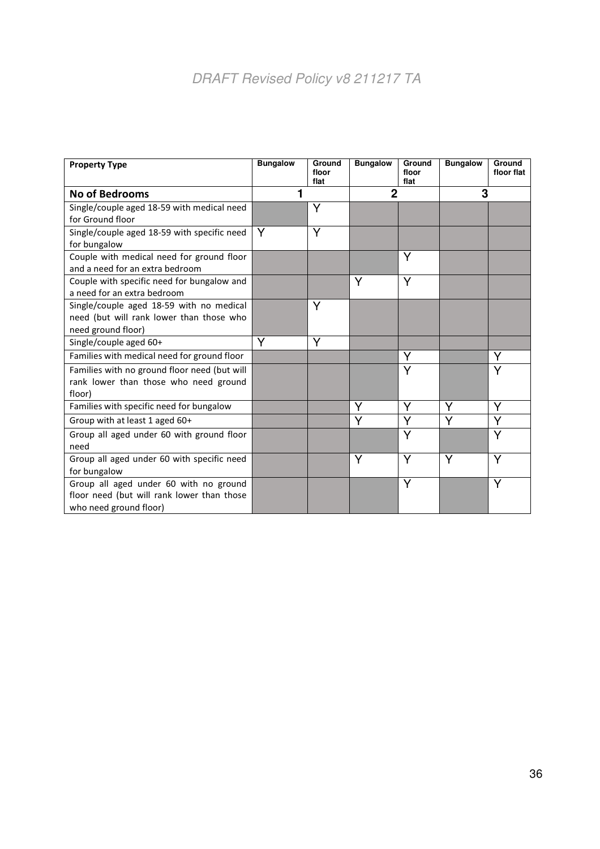# DRAFT Revised Policy v8 211217 TA

| <b>Property Type</b>                         | <b>Bungalow</b> | Ground<br>floor<br>flat | <b>Bungalow</b> | Ground<br>floor<br>flat | <b>Bungalow</b> | <b>Ground</b><br>floor flat |
|----------------------------------------------|-----------------|-------------------------|-----------------|-------------------------|-----------------|-----------------------------|
| <b>No of Bedrooms</b>                        |                 |                         | $\mathbf 2$     |                         | 3               |                             |
| Single/couple aged 18-59 with medical need   |                 | Υ                       |                 |                         |                 |                             |
| for Ground floor                             |                 |                         |                 |                         |                 |                             |
| Single/couple aged 18-59 with specific need  | Y               | Y                       |                 |                         |                 |                             |
| for bungalow                                 |                 |                         |                 |                         |                 |                             |
| Couple with medical need for ground floor    |                 |                         |                 | Υ                       |                 |                             |
| and a need for an extra bedroom              |                 |                         |                 |                         |                 |                             |
| Couple with specific need for bungalow and   |                 |                         | Υ               | Y                       |                 |                             |
| a need for an extra bedroom                  |                 |                         |                 |                         |                 |                             |
| Single/couple aged 18-59 with no medical     |                 | Υ                       |                 |                         |                 |                             |
| need (but will rank lower than those who     |                 |                         |                 |                         |                 |                             |
| need ground floor)                           |                 |                         |                 |                         |                 |                             |
| Single/couple aged 60+                       | Y               | Y                       |                 |                         |                 |                             |
| Families with medical need for ground floor  |                 |                         |                 | Y                       |                 | Y                           |
| Families with no ground floor need (but will |                 |                         |                 | Y                       |                 | Y                           |
| rank lower than those who need ground        |                 |                         |                 |                         |                 |                             |
| floor)                                       |                 |                         |                 |                         |                 |                             |
| Families with specific need for bungalow     |                 |                         | Υ               | Y                       | Υ               | Υ                           |
| Group with at least 1 aged 60+               |                 |                         | Υ               | Y                       | Y               | Y                           |
| Group all aged under 60 with ground floor    |                 |                         |                 | Υ                       |                 | Y                           |
| need                                         |                 |                         |                 |                         |                 |                             |
| Group all aged under 60 with specific need   |                 |                         | Υ               | Y                       | Υ               | Υ                           |
| for bungalow                                 |                 |                         |                 |                         |                 |                             |
| Group all aged under 60 with no ground       |                 |                         |                 | Υ                       |                 | Υ                           |
| floor need (but will rank lower than those   |                 |                         |                 |                         |                 |                             |
| who need ground floor)                       |                 |                         |                 |                         |                 |                             |